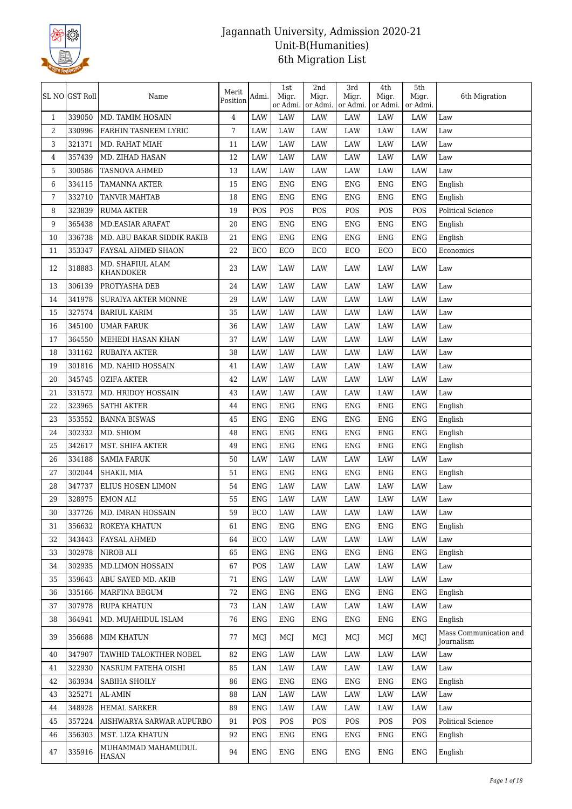

|                | SL NO GST Roll | Name                                 | Merit<br>Position | Admi.        | 1st<br>Migr.<br>or Admi. | 2nd<br>Migr.<br>or Admi. | 3rd<br>Migr.<br>or Admi. | 4th<br>Migr.<br>or Admi. | 5th<br>Migr.<br>or Admi. | 6th Migration                        |
|----------------|----------------|--------------------------------------|-------------------|--------------|--------------------------|--------------------------|--------------------------|--------------------------|--------------------------|--------------------------------------|
| $\mathbf{1}$   | 339050         | MD. TAMIM HOSAIN                     | 4                 | <b>LAW</b>   | <b>LAW</b>               | LAW                      | <b>LAW</b>               | LAW                      | LAW                      | Law                                  |
| $\overline{2}$ | 330996         | FARHIN TASNEEM LYRIC                 | 7                 | <b>LAW</b>   | <b>LAW</b>               | LAW                      | LAW                      | LAW                      | LAW                      | Law                                  |
| 3              | 321371         | MD. RAHAT MIAH                       | 11                | <b>LAW</b>   | <b>LAW</b>               | LAW                      | LAW                      | LAW                      | LAW                      | Law                                  |
| 4              | 357439         | MD. ZIHAD HASAN                      | 12                | LAW          | LAW                      | LAW                      | LAW                      | LAW                      | LAW                      | Law                                  |
| 5              | 300586         | <b>TASNOVA AHMED</b>                 | 13                | <b>LAW</b>   | <b>LAW</b>               | LAW                      | <b>LAW</b>               | LAW                      | LAW                      | Law                                  |
| 6              | 334115         | <b>TAMANNA AKTER</b>                 | 15                | <b>ENG</b>   | <b>ENG</b>               | <b>ENG</b>               | <b>ENG</b>               | <b>ENG</b>               | <b>ENG</b>               | English                              |
| 7              | 332710         | <b>TANVIR MAHTAB</b>                 | 18                | <b>ENG</b>   | <b>ENG</b>               | <b>ENG</b>               | <b>ENG</b>               | <b>ENG</b>               | <b>ENG</b>               | English                              |
| 8              | 323839         | <b>RUMA AKTER</b>                    | 19                | POS          | POS                      | POS                      | POS                      | POS                      | POS                      | <b>Political Science</b>             |
| 9              | 365438         | <b>MD.EASIAR ARAFAT</b>              | 20                | <b>ENG</b>   | <b>ENG</b>               | <b>ENG</b>               | <b>ENG</b>               | <b>ENG</b>               | <b>ENG</b>               | English                              |
| 10             | 336738         | MD. ABU BAKAR SIDDIK RAKIB           | 21                | <b>ENG</b>   | <b>ENG</b>               | <b>ENG</b>               | <b>ENG</b>               | <b>ENG</b>               | <b>ENG</b>               | English                              |
| 11             | 353347         | FAYSAL AHMED SHAON                   | 22                | ECO          | ECO                      | ECO                      | ECO                      | ECO                      | ECO                      | Economics                            |
| 12             | 318883         | MD. SHAFIUL ALAM<br><b>KHANDOKER</b> | 23                | <b>LAW</b>   | LAW                      | LAW                      | LAW                      | LAW                      | LAW                      | Law                                  |
| 13             | 306139         | PROTYASHA DEB                        | 24                | <b>LAW</b>   | LAW                      | LAW                      | LAW                      | LAW                      | LAW                      | Law                                  |
| 14             | 341978         | <b>SURAIYA AKTER MONNE</b>           | 29                | <b>LAW</b>   | <b>LAW</b>               | LAW                      | LAW                      | LAW                      | LAW                      | Law                                  |
| 15             | 327574         | <b>BARIUL KARIM</b>                  | 35                | <b>LAW</b>   | LAW                      | LAW                      | LAW                      | LAW                      | LAW                      | Law                                  |
| 16             | 345100         | <b>UMAR FARUK</b>                    | 36                | <b>LAW</b>   | <b>LAW</b>               | LAW                      | LAW                      | LAW                      | LAW                      | Law                                  |
| 17             | 364550         | MEHEDI HASAN KHAN                    | 37                | <b>LAW</b>   | <b>LAW</b>               | LAW                      | LAW                      | <b>LAW</b>               | LAW                      | Law                                  |
| 18             | 331162         | <b>RUBAIYA AKTER</b>                 | 38                | LAW          | LAW                      | LAW                      | LAW                      | LAW                      | LAW                      | Law                                  |
| 19             | 301816         | MD. NAHID HOSSAIN                    | 41                | <b>LAW</b>   | <b>LAW</b>               | LAW                      | LAW                      | LAW                      | LAW                      | Law                                  |
| 20             | 345745         | <b>OZIFA AKTER</b>                   | 42                | LAW          | LAW                      | LAW                      | LAW                      | LAW                      | LAW                      | Law                                  |
| 21             | 331572         | MD. HRIDOY HOSSAIN                   | 43                | <b>LAW</b>   | <b>LAW</b>               | LAW                      | LAW                      | LAW                      | LAW                      | Law                                  |
| 22             | 323965         | <b>SATHI AKTER</b>                   | 44                | <b>ENG</b>   | <b>ENG</b>               | <b>ENG</b>               | <b>ENG</b>               | <b>ENG</b>               | <b>ENG</b>               | English                              |
| 23             | 353552         | <b>BANNA BISWAS</b>                  | 45                | <b>ENG</b>   | <b>ENG</b>               | <b>ENG</b>               | <b>ENG</b>               | <b>ENG</b>               | <b>ENG</b>               | English                              |
| 24             | 302332         | MD. SHIOM                            | 48                | <b>ENG</b>   | <b>ENG</b>               | <b>ENG</b>               | <b>ENG</b>               | <b>ENG</b>               | <b>ENG</b>               | English                              |
| 25             | 342617         | MST. SHIFA AKTER                     | 49                | <b>ENG</b>   | <b>ENG</b>               | <b>ENG</b>               | <b>ENG</b>               | <b>ENG</b>               | <b>ENG</b>               | English                              |
| 26             | 334188         | <b>SAMIA FARUK</b>                   | 50                | LAW          | LAW                      | LAW                      | LAW                      | LAW                      | LAW                      | Law                                  |
| 27             | 302044         | SHAKIL MIA                           | 51                | <b>ENG</b>   | <b>ENG</b>               | <b>ENG</b>               | <b>ENG</b>               | <b>ENG</b>               | <b>ENG</b>               | English                              |
| 28             | 347737         | <b>ELIUS HOSEN LIMON</b>             | 54                | <b>ENG</b>   | LAW                      | LAW                      | LAW                      | LAW                      | LAW                      | Law                                  |
| 29             | 328975         | <b>EMON ALI</b>                      | 55                | ${\rm ENG}$  | <b>LAW</b>               | LAW                      | <b>LAW</b>               | LAW                      | LAW                      | Law                                  |
| 30             |                | 337726   MD. IMRAN HOSSAIN           | 59                | $_{\rm ECO}$ | LAW                      | LAW                      | LAW                      | LAW                      | LAW                      | Law                                  |
| 31             | 356632         | ROKEYA KHATUN                        | 61                | <b>ENG</b>   | ENG                      | ENG                      | ENG                      | ENG                      | ENG                      | English                              |
| 32             | 343443         | FAYSAL AHMED                         | 64                | ECO          | LAW                      | LAW                      | LAW                      | LAW                      | LAW                      | Law                                  |
| 33             | 302978         | NIROB ALI                            | 65                | <b>ENG</b>   | <b>ENG</b>               | <b>ENG</b>               | <b>ENG</b>               | <b>ENG</b>               | <b>ENG</b>               | English                              |
| 34             | 302935         | MD.LIMON HOSSAIN                     | 67                | POS          | LAW                      | LAW                      | LAW                      | LAW                      | LAW                      | Law                                  |
| 35             | 359643         | ABU SAYED MD. AKIB                   | 71                | <b>ENG</b>   | LAW                      | LAW                      | LAW                      | LAW                      | LAW                      | Law                                  |
| 36             | 335166         | <b>MARFINA BEGUM</b>                 | 72                | <b>ENG</b>   | ENG                      | <b>ENG</b>               | <b>ENG</b>               | <b>ENG</b>               | ENG                      | English                              |
| 37             | 307978         | <b>RUPA KHATUN</b>                   | 73                | LAN          | LAW                      | LAW                      | LAW                      | LAW                      | LAW                      | Law                                  |
| 38             | 364941         | MD. MUJAHIDUL ISLAM                  | 76                | ENG          | ENG                      | ENG                      | ENG                      | ENG                      | ENG                      | English                              |
| 39             | 356688         | MIM KHATUN                           | 77                | MCJ          | MCJ                      | MCJ                      | MCJ                      | MCJ                      | MCJ                      | Mass Communication and<br>Journalism |
| 40             | 347907         | TAWHID TALOKTHER NOBEL               | 82                | <b>ENG</b>   | LAW                      | LAW                      | LAW                      | LAW                      | LAW                      | $_{\mbox{\footnotesize{Law}}}$       |
| 41             | 322930         | NASRUM FATEHA OISHI                  | 85                | LAN          | LAW                      | LAW                      | LAW                      | LAW                      | LAW                      | Law                                  |
| 42             | 363934         | SABIHA SHOILY                        | 86                | <b>ENG</b>   | <b>ENG</b>               | <b>ENG</b>               | ENG                      | <b>ENG</b>               | ENG                      | English                              |
| 43             | 325271         | AL-AMIN                              | 88                | LAN          | LAW                      | LAW                      | LAW                      | LAW                      | LAW                      | Law                                  |
| 44             | 348928         | <b>HEMAL SARKER</b>                  | 89                | <b>ENG</b>   | LAW                      | LAW                      | LAW                      | LAW                      | LAW                      | $_{\mbox{\footnotesize{Law}}}$       |
| 45             | 357224         | AISHWARYA SARWAR AUPURBO             | 91                | POS          | POS                      | POS                      | POS                      | POS                      | POS                      | Political Science                    |
| 46             | 356303         | MST. LIZA KHATUN                     | 92                | ENG          | ENG                      | ENG                      | ENG                      | ENG                      | ENG                      | English                              |
| 47             | 335916         | MUHAMMAD MAHAMUDUL<br><b>HASAN</b>   | 94                | ENG          | ENG                      | ENG                      | ENG                      | ENG                      | ENG                      | English                              |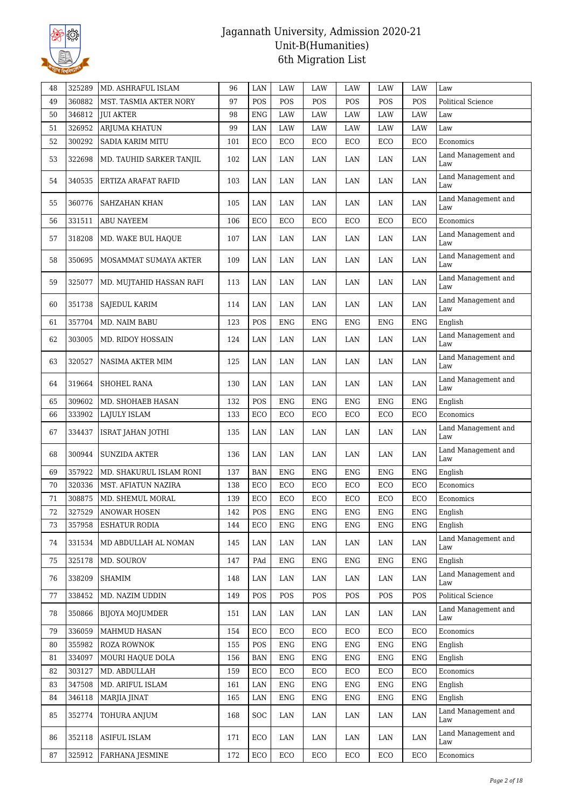

| 48 | 325289 | MD. ASHRAFUL ISLAM       | 96  | LAN        | LAW        | LAW        | LAW        | LAW        | LAW        | Law                            |
|----|--------|--------------------------|-----|------------|------------|------------|------------|------------|------------|--------------------------------|
| 49 | 360882 | MST. TASMIA AKTER NORY   | 97  | POS        | POS        | POS        | POS        | POS        | POS        | Political Science              |
| 50 | 346812 | <b>JUI AKTER</b>         | 98  | <b>ENG</b> | LAW        | LAW        | LAW        | LAW        | LAW        | Law                            |
| 51 | 326952 | ARJUMA KHATUN            | 99  | LAN        | LAW        | LAW        | LAW        | LAW        | LAW        | $_{\mbox{\footnotesize{Law}}}$ |
| 52 | 300292 | SADIA KARIM MITU         | 101 | ECO        | ECO        | ECO        | ECO        | ECO        | ECO        | Economics                      |
| 53 | 322698 | MD. TAUHID SARKER TANJIL | 102 | LAN        | LAN        | LAN        | LAN        | LAN        | LAN        | Land Management and<br>Law     |
| 54 | 340535 | ERTIZA ARAFAT RAFID      | 103 | LAN        | LAN        | LAN        | LAN        | LAN        | LAN        | Land Management and<br>Law     |
| 55 | 360776 | SAHZAHAN KHAN            | 105 | LAN        | LAN        | LAN        | LAN        | LAN        | LAN        | Land Management and<br>Law     |
| 56 | 331511 | ABU NAYEEM               | 106 | ECO        | ECO        | ECO        | ECO        | ECO        | ECO        | Economics                      |
| 57 | 318208 | MD. WAKE BUL HAQUE       | 107 | LAN        | LAN        | LAN        | LAN        | LAN        | LAN        | Land Management and<br>Law     |
| 58 | 350695 | MOSAMMAT SUMAYA AKTER    | 109 | LAN        | LAN        | LAN        | LAN        | LAN        | LAN        | Land Management and<br>Law     |
| 59 | 325077 | MD. MUJTAHID HASSAN RAFI | 113 | LAN        | LAN        | LAN        | LAN        | LAN        | LAN        | Land Management and<br>Law     |
| 60 | 351738 | SAJEDUL KARIM            | 114 | LAN        | LAN        | LAN        | LAN        | LAN        | LAN        | Land Management and<br>Law     |
| 61 | 357704 | MD. NAIM BABU            | 123 | POS        | ENG        | ENG        | ENG        | ENG        | <b>ENG</b> | English                        |
| 62 | 303005 | <b>MD. RIDOY HOSSAIN</b> | 124 | LAN        | LAN        | LAN        | LAN        | LAN        | LAN        | Land Management and<br>Law     |
| 63 | 320527 | NASIMA AKTER MIM         | 125 | LAN        | LAN        | LAN        | LAN        | LAN        | LAN        | Land Management and<br>Law     |
| 64 | 319664 | SHOHEL RANA              | 130 | LAN        | LAN        | LAN        | LAN        | LAN        | LAN        | Land Management and<br>Law     |
| 65 | 309602 | MD. SHOHAEB HASAN        | 132 | POS        | <b>ENG</b> | ENG        | <b>ENG</b> | <b>ENG</b> | <b>ENG</b> | English                        |
| 66 | 333902 | LAJULY ISLAM             | 133 | ECO        | ECO        | ECO        | ECO        | ECO        | ECO        | Economics                      |
| 67 | 334437 | ISRAT JAHAN JOTHI        | 135 | LAN        | LAN        | LAN        | LAN        | LAN        | LAN        | Land Management and<br>Law     |
| 68 | 300944 | <b>SUNZIDA AKTER</b>     | 136 | LAN        | LAN        | LAN        | LAN        | LAN        | LAN        | Land Management and<br>Law     |
| 69 | 357922 | MD. SHAKURUL ISLAM RONI  | 137 | BAN        | <b>ENG</b> | ENG        | <b>ENG</b> | <b>ENG</b> | <b>ENG</b> | English                        |
| 70 | 320336 | MST. AFIATUN NAZIRA      | 138 | ECO        | ECO        | ECO        | ECO        | ECO        | ECO        | Economics                      |
| 71 | 308875 | MD. SHEMUL MORAL         | 139 | ECO        | ECO        | ECO        | ECO        | ECO        | ECO        | Economics                      |
| 72 | 327529 | ANOWAR HOSEN             | 142 | POS        | ENG        | ENG        | ENG        | ENG        | ENG        | English                        |
| 73 | 357958 | <b>ESHATUR RODIA</b>     | 144 | ECO        | ENG        | ENG        | ENG        | ENG        | <b>ENG</b> | English                        |
| 74 | 331534 | MD ABDULLAH AL NOMAN     | 145 | LAN        | LAN        | LAN        | LAN        | LAN        | LAN        | Land Management and<br>Law     |
| 75 | 325178 | MD. SOUROV               | 147 | PAd        | <b>ENG</b> | <b>ENG</b> | <b>ENG</b> | <b>ENG</b> | <b>ENG</b> | English                        |
| 76 | 338209 | SHAMIM                   | 148 | LAN        | LAN        | LAN        | LAN        | LAN        | LAN        | Land Management and<br>Law     |
| 77 | 338452 | MD. NAZIM UDDIN          | 149 | POS        | POS        | POS        | POS        | POS        | POS        | Political Science              |
| 78 | 350866 | BIJOYA MOJUMDER          | 151 | LAN        | LAN        | LAN        | LAN        | LAN        | LAN        | Land Management and<br>Law     |
| 79 | 336059 | MAHMUD HASAN             | 154 | ECO        | ECO        | ECO        | ECO        | ECO        | ECO        | Economics                      |
| 80 | 355982 | ROZA ROWNOK              | 155 | POS        | <b>ENG</b> | <b>ENG</b> | <b>ENG</b> | <b>ENG</b> | <b>ENG</b> | English                        |
| 81 | 334097 | MOURI HAQUE DOLA         | 156 | <b>BAN</b> | <b>ENG</b> | <b>ENG</b> | <b>ENG</b> | <b>ENG</b> | <b>ENG</b> | English                        |
| 82 | 303127 | MD. ABDULLAH             | 159 | ECO        | ECO        | ECO        | ECO        | ECO        | ECO        | Economics                      |
| 83 | 347508 | MD. ARIFUL ISLAM         | 161 | LAN        | <b>ENG</b> | <b>ENG</b> | <b>ENG</b> | <b>ENG</b> | <b>ENG</b> | English                        |
| 84 | 346118 | MARJIA JINAT             | 165 | LAN        | ENG        | <b>ENG</b> | ENG        | <b>ENG</b> | <b>ENG</b> | English                        |
| 85 | 352774 | TOHURA ANJUM             | 168 | SOC        | LAN        | LAN        | LAN        | LAN        | LAN        | Land Management and<br>Law     |
| 86 | 352118 | <b>ASIFUL ISLAM</b>      | 171 | ECO        | LAN        | LAN        | LAN        | LAN        | LAN        | Land Management and<br>Law     |
| 87 | 325912 | <b>FARHANA JESMINE</b>   | 172 | ECO        | ECO        | ECO        | ECO        | ECO        | ECO        | Economics                      |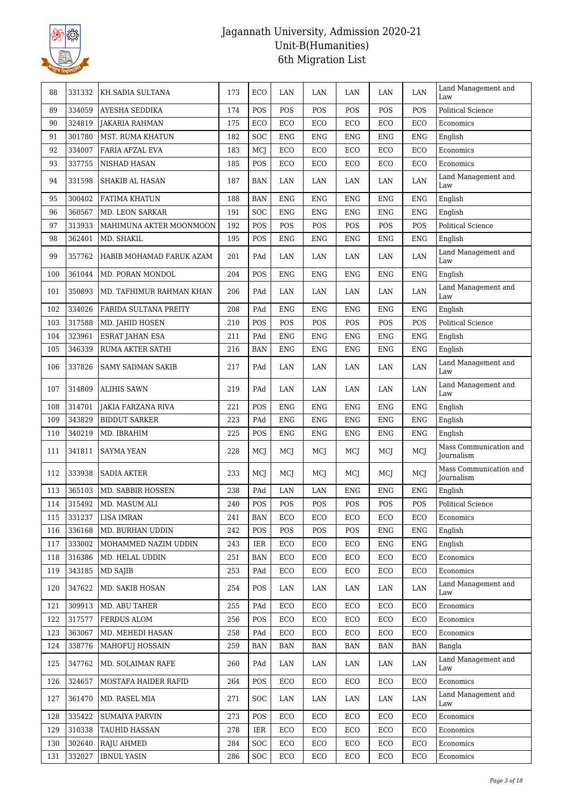

| 88  | 331332 | KH.SADIA SULTANA          | 173 | ECO                         | LAN         | LAN        | LAN        | LAN        | LAN        | Land Management and<br>Law           |
|-----|--------|---------------------------|-----|-----------------------------|-------------|------------|------------|------------|------------|--------------------------------------|
| 89  | 334059 | AYESHA SEDDIKA            | 174 | POS                         | POS         | POS        | POS        | POS        | POS        | <b>Political Science</b>             |
| 90  | 324819 | <b>JAKARIA RAHMAN</b>     | 175 | ECO                         | ECO         | ECO        | ECO        | ECO        | ECO        | Economics                            |
| 91  | 301780 | MST. RUMA KHATUN          | 182 | SOC                         | <b>ENG</b>  | <b>ENG</b> | <b>ENG</b> | <b>ENG</b> | <b>ENG</b> | English                              |
| 92  | 334007 | FARIA AFZAL EVA           | 183 | MCJ                         | ECO         | ECO        | ECO        | ECO        | ECO        | Economics                            |
| 93  | 337755 | NISHAD HASAN              | 185 | POS                         | ECO         | ECO        | ECO        | ECO        | ECO        | Economics                            |
| 94  | 331598 | <b>SHAKIB AL HASAN</b>    | 187 | <b>BAN</b>                  | LAN         | LAN        | LAN        | LAN        | LAN        | Land Management and<br>Law           |
| 95  | 300402 | FATIMA KHATUN             | 188 | <b>BAN</b>                  | <b>ENG</b>  | <b>ENG</b> | <b>ENG</b> | <b>ENG</b> | <b>ENG</b> | English                              |
| 96  | 360567 | <b>MD. LEON SARKAR</b>    | 191 | SOC                         | <b>ENG</b>  | <b>ENG</b> | <b>ENG</b> | <b>ENG</b> | <b>ENG</b> | English                              |
| 97  | 313933 | MAHIMUNA AKTER MOONMOON   | 192 | POS                         | POS         | POS        | POS        | POS        | POS        | <b>Political Science</b>             |
| 98  | 362401 | MD. SHAKIL                | 195 | POS                         | ENG         | <b>ENG</b> | <b>ENG</b> | <b>ENG</b> | ENG        | English                              |
| 99  | 357762 | HABIB MOHAMAD FARUK AZAM  | 201 | PAd                         | LAN         | LAN        | LAN        | LAN        | LAN        | Land Management and<br>Law           |
| 100 | 361044 | MD. PORAN MONDOL          | 204 | POS                         | ENG         | <b>ENG</b> | <b>ENG</b> | <b>ENG</b> | ENG        | English                              |
| 101 | 350893 | MD. TAFHIMUR RAHMAN KHAN  | 206 | PAd                         | LAN         | LAN        | LAN        | LAN        | LAN        | Land Management and<br>Law           |
| 102 | 334026 | FARIDA SULTANA PREITY     | 208 | PAd                         | <b>ENG</b>  | <b>ENG</b> | <b>ENG</b> | <b>ENG</b> | <b>ENG</b> | English                              |
| 103 | 317588 | MD. JAHID HOSEN           | 210 | POS                         | POS         | POS        | POS        | POS        | POS        | <b>Political Science</b>             |
| 104 | 323961 | <b>ESRAT JAHAN ESA</b>    | 211 | PAd                         | <b>ENG</b>  | <b>ENG</b> | <b>ENG</b> | <b>ENG</b> | <b>ENG</b> | English                              |
| 105 | 346339 | RUMA AKTER SATHI          | 216 | <b>BAN</b>                  | <b>ENG</b>  | <b>ENG</b> | <b>ENG</b> | <b>ENG</b> | <b>ENG</b> | English                              |
| 106 | 337826 | <b>SAMY SADMAN SAKIB</b>  | 217 | PAd                         | LAN         | LAN        | LAN        | LAN        | LAN        | Land Management and<br>Law           |
| 107 | 314809 | <b>ALIHIS SAWN</b>        | 219 | PAd                         | LAN         | LAN        | LAN        | LAN        | LAN        | Land Management and<br>Law           |
| 108 | 314701 | <b>JAKIA FARZANA RIVA</b> | 221 | POS                         | <b>ENG</b>  | <b>ENG</b> | <b>ENG</b> | <b>ENG</b> | <b>ENG</b> | English                              |
| 109 | 343829 | <b>BIDDUT SARKER</b>      | 223 | PAd                         | ENG         | <b>ENG</b> | <b>ENG</b> | <b>ENG</b> | <b>ENG</b> | English                              |
| 110 | 340219 | MD. IBRAHIM               | 225 | POS                         | ${\rm ENG}$ | <b>ENG</b> | <b>ENG</b> | <b>ENG</b> | <b>ENG</b> | English                              |
| 111 | 341811 | <b>SAYMA YEAN</b>         | 228 | MCJ                         | MCJ         | MCJ        | MCJ        | MCJ        | MCJ        | Mass Communication and<br>Journalism |
| 112 | 333938 | <b>SADIA AKTER</b>        | 233 | MCJ                         | MCJ         | MCJ        | MCJ        | MCJ        | MCJ        | Mass Communication and<br>Journalism |
| 113 | 365103 | MD. SABBIR HOSSEN         | 238 | PAd                         | LAN         | LAN        | <b>ENG</b> | <b>ENG</b> | ENG        | English                              |
| 114 | 315492 | MD. MASUM ALI             | 240 | POS                         | POS         | POS        | POS        | POS        | POS        | Political Science                    |
| 115 | 331237 | <b>LISA IMRAN</b>         | 241 | $\ensuremath{\mathsf{BAN}}$ | ECO         | ECO        | ECO        | ECO        | ECO        | Economics                            |
| 116 | 336168 | MD. BURHAN UDDIN          | 242 | POS                         | POS         | POS        | POS        | <b>ENG</b> | ENG        | English                              |
| 117 | 333002 | MOHAMMED NAZIM UDDIN      | 243 | <b>IER</b>                  | ECO         | ECO        | ECO        | <b>ENG</b> | <b>ENG</b> | English                              |
| 118 | 316386 | MD. HELAL UDDIN           | 251 | <b>BAN</b>                  | ECO         | ECO        | ECO        | ECO        | ECO        | Economics                            |
| 119 | 343185 | MD SAJIB                  | 253 | PAd                         | ECO         | ECO        | ECO        | ECO        | ECO        | Economics                            |
| 120 | 347622 | MD. SAKIB HOSAN           | 254 | POS                         | LAN         | LAN        | LAN        | LAN        | LAN        | Land Management and<br>Law           |
| 121 | 309913 | MD. ABU TAHER             | 255 | PAd                         | ECO         | ECO        | ECO        | ECO        | ECO        | Economics                            |
| 122 | 317577 | FERDUS ALOM               | 256 | POS                         | ECO         | ECO        | ECO        | ECO        | ECO        | Economics                            |
| 123 | 363067 | MD. MEHEDI HASAN          | 258 | PAd                         | ECO         | ECO        | ECO        | ECO        | ECO        | Economics                            |
| 124 | 338776 | <b>MAHOFUJ HOSSAIN</b>    | 259 | <b>BAN</b>                  | <b>BAN</b>  | <b>BAN</b> | BAN        | BAN        | BAN        | Bangla                               |
| 125 | 347762 | MD. SOLAIMAN RAFE         | 260 | PAd                         | LAN         | LAN        | LAN        | LAN        | LAN        | Land Management and<br>Law           |
| 126 | 324657 | MOSTAFA HAIDER RAFID      | 264 | POS                         | ECO         | ECO        | ECO        | ECO        | ECO        | Economics                            |
| 127 | 361470 | MD. RASEL MIA             | 271 | <b>SOC</b>                  | LAN         | LAN        | LAN        | LAN        | LAN        | Land Management and<br>Law           |
| 128 | 335422 | <b>SUMAIYA PARVIN</b>     | 273 | POS                         | ECO         | ECO        | ECO        | ECO        | ECO        | Economics                            |
| 129 | 310338 | <b>TAUHID HASSAN</b>      | 278 | IER                         | ECO         | ECO        | ECO        | ECO        | ECO        | Economics                            |
| 130 | 302640 | RAJU AHMED                | 284 | SOC                         | ECO         | ECO        | ECO        | ECO        | ECO        | Economics                            |
| 131 | 332027 | <b>IBNUL YASIN</b>        | 286 | <b>SOC</b>                  | ECO         | ECO        | ECO        | ECO        | ECO        | Economics                            |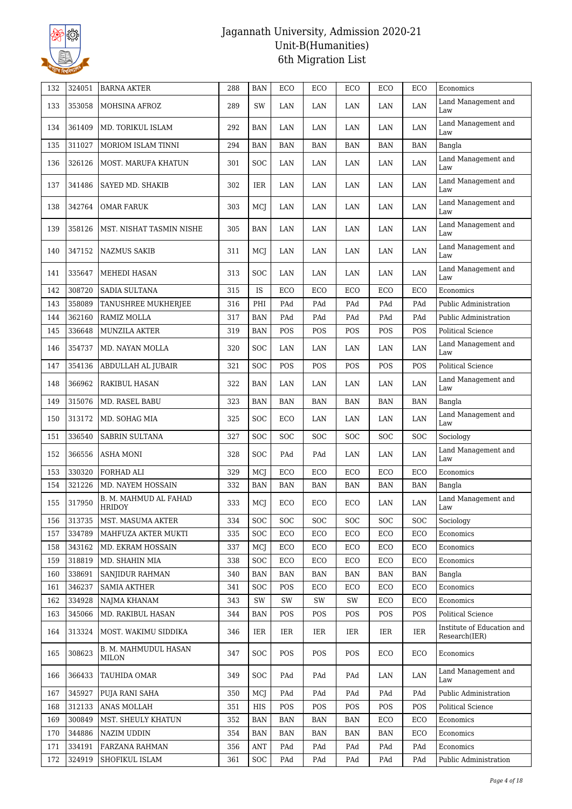

| 132 | 324051 | <b>BARNA AKTER</b>              | 288 | <b>BAN</b> | ECO        | ECO        | ECO        | ECO        | ECO        | Economics                                   |
|-----|--------|---------------------------------|-----|------------|------------|------------|------------|------------|------------|---------------------------------------------|
| 133 | 353058 | MOHSINA AFROZ                   | 289 | SW         | LAN        | LAN        | LAN        | LAN        | LAN        | Land Management and<br>Law                  |
| 134 | 361409 | MD. TORIKUL ISLAM               | 292 | <b>BAN</b> | LAN        | LAN        | LAN        | LAN        | LAN        | Land Management and<br>Law                  |
| 135 | 311027 | MORIOM ISLAM TINNI              | 294 | <b>BAN</b> | <b>BAN</b> | BAN        | BAN        | <b>BAN</b> | <b>BAN</b> | Bangla                                      |
| 136 | 326126 | MOST. MARUFA KHATUN             | 301 | SOC        | LAN        | LAN        | LAN        | LAN        | LAN        | Land Management and<br>Law                  |
| 137 | 341486 | SAYED MD. SHAKIB                | 302 | IER        | LAN        | LAN        | LAN        | LAN        | LAN        | Land Management and<br>Law                  |
| 138 | 342764 | <b>OMAR FARUK</b>               | 303 | MCJ        | LAN        | LAN        | LAN        | LAN        | LAN        | Land Management and<br>Law                  |
| 139 | 358126 | MST. NISHAT TASMIN NISHE        | 305 | <b>BAN</b> | LAN        | LAN        | LAN        | LAN        | LAN        | Land Management and<br>Law                  |
| 140 | 347152 | <b>NAZMUS SAKIB</b>             | 311 | MCJ        | LAN        | LAN        | LAN        | LAN        | $\rm LAN$  | Land Management and<br>Law                  |
| 141 | 335647 | MEHEDI HASAN                    | 313 | <b>SOC</b> | LAN        | LAN        | LAN        | LAN        | LAN        | Land Management and<br>Law                  |
| 142 | 308720 | SADIA SULTANA                   | 315 | IS         | ECO        | ECO        | ECO        | ECO        | ECO        | Economics                                   |
| 143 | 358089 | TANUSHREE MUKHERJEE             | 316 | PHI        | PAd        | PAd        | PAd        | PAd        | PAd        | Public Administration                       |
| 144 | 362160 | RAMIZ MOLLA                     | 317 | <b>BAN</b> | PAd        | PAd        | PAd        | PAd        | PAd        | Public Administration                       |
| 145 | 336648 | MUNZILA AKTER                   | 319 | <b>BAN</b> | POS        | POS        | POS        | POS        | POS        | <b>Political Science</b>                    |
| 146 | 354737 | MD. NAYAN MOLLA                 | 320 | <b>SOC</b> | LAN        | LAN        | LAN        | LAN        | LAN        | Land Management and<br>Law                  |
| 147 | 354136 | ABDULLAH AL JUBAIR              | 321 | <b>SOC</b> | POS        | POS        | POS        | POS        | POS        | <b>Political Science</b>                    |
| 148 | 366962 | <b>RAKIBUL HASAN</b>            | 322 | <b>BAN</b> | LAN        | LAN        | LAN        | LAN        | LAN        | Land Management and<br>Law                  |
| 149 | 315076 | MD. RASEL BABU                  | 323 | <b>BAN</b> | BAN        | <b>BAN</b> | <b>BAN</b> | <b>BAN</b> | <b>BAN</b> | Bangla                                      |
| 150 | 313172 | MD. SOHAG MIA                   | 325 | SOC        | ECO        | LAN        | LAN        | LAN        | LAN        | Land Management and<br>Law                  |
| 151 | 336540 | <b>SABRIN SULTANA</b>           | 327 | SOC        | SOC        | <b>SOC</b> | SOC        | <b>SOC</b> | SOC        | Sociology                                   |
| 152 | 366556 | ASHA MONI                       | 328 | SOC        | PAd        | PAd        | LAN        | LAN        | LAN        | Land Management and<br>Law                  |
| 153 | 330320 | FORHAD ALI                      | 329 | MCJ        | ECO        | ECO        | ECO        | ECO        | ECO        | Economics                                   |
| 154 | 321226 | MD. NAYEM HOSSAIN               | 332 | <b>BAN</b> | BAN        | <b>BAN</b> | <b>BAN</b> | <b>BAN</b> | <b>BAN</b> | Bangla                                      |
| 155 | 317950 | B. M. MAHMUD AL FAHAD<br>HRIDOY | 333 | MCJ        | ECO        | ECO        | ECO        | LAN        | LAN        | Land Management and<br>Law                  |
| 156 | 313735 | MST. MASUMA AKTER               | 334 | <b>SOC</b> | <b>SOC</b> | <b>SOC</b> | <b>SOC</b> | <b>SOC</b> | SOC        | Sociology                                   |
| 157 | 334789 | MAHFUZA AKTER MUKTI             | 335 | <b>SOC</b> | ECO        | ECO        | ECO        | ECO        | ECO        | Economics                                   |
| 158 | 343162 | MD. EKRAM HOSSAIN               | 337 | MCJ        | ECO        | ECO        | ECO        | ECO        | ECO        | Economics                                   |
| 159 | 318819 | MD. SHAHIN MIA                  | 338 | <b>SOC</b> | ECO        | ECO        | ECO        | ECO        | ECO        | Economics                                   |
| 160 | 338691 | SANJIDUR RAHMAN                 | 340 | <b>BAN</b> | <b>BAN</b> | <b>BAN</b> | <b>BAN</b> | <b>BAN</b> | <b>BAN</b> | Bangla                                      |
| 161 | 346237 | <b>SAMIA AKTHER</b>             | 341 | SOC        | POS        | ECO        | ECO        | ECO        | ECO        | Economics                                   |
| 162 | 334928 | NAJMA KHANAM                    | 343 | SW         | SW         | SW         | SW         | ECO        | ECO        | Economics                                   |
| 163 | 345066 | MD. RAKIBUL HASAN               | 344 | <b>BAN</b> | POS        | POS        | POS        | POS        | POS        | Political Science                           |
| 164 | 313324 | MOST. WAKIMU SIDDIKA            | 346 | IER        | IER        | IER        | IER        | IER        | IER        | Institute of Education and<br>Research(IER) |
| 165 | 308623 | B. M. MAHMUDUL HASAN<br>MILON   | 347 | <b>SOC</b> | POS        | POS        | POS        | ECO        | ECO        | Economics                                   |
| 166 | 366433 | TAUHIDA OMAR                    | 349 | <b>SOC</b> | PAd        | PAd        | PAd        | LAN        | LAN        | Land Management and<br>Law                  |
| 167 | 345927 | PUJA RANI SAHA                  | 350 | MCJ        | PAd        | PAd        | PAd        | PAd        | PAd        | Public Administration                       |
| 168 | 312133 | ANAS MOLLAH                     | 351 | HIS        | POS        | POS        | POS        | POS        | POS        | <b>Political Science</b>                    |
| 169 | 300849 | MST. SHEULY KHATUN              | 352 | BAN        | BAN        | <b>BAN</b> | <b>BAN</b> | ECO        | ECO        | Economics                                   |
| 170 | 344886 | NAZIM UDDIN                     | 354 | <b>BAN</b> | BAN        | BAN        | BAN        | BAN        | ECO        | Economics                                   |
| 171 | 334191 | FARZANA RAHMAN                  | 356 | <b>ANT</b> | PAd        | PAd        | PAd        | PAd        | PAd        | Economics                                   |
| 172 | 324919 | SHOFIKUL ISLAM                  | 361 | SOC        | PAd        | PAd        | PAd        | PAd        | PAd        | Public Administration                       |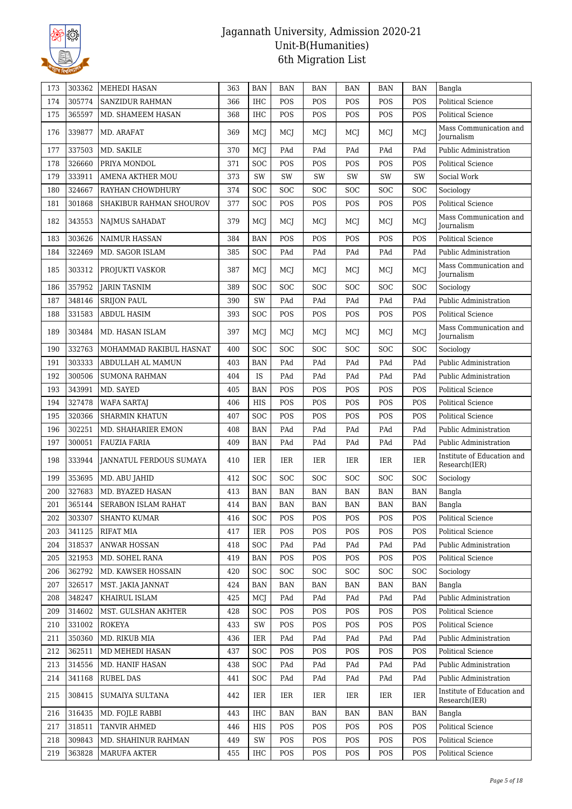

| 173 | 303362 | MEHEDI HASAN            | 363 | <b>BAN</b> | <b>BAN</b> | BAN        | <b>BAN</b> | BAN        | <b>BAN</b> | Bangla                                      |
|-----|--------|-------------------------|-----|------------|------------|------------|------------|------------|------------|---------------------------------------------|
| 174 | 305774 | <b>SANZIDUR RAHMAN</b>  | 366 | <b>IHC</b> | POS        | POS        | POS        | POS        | POS        | <b>Political Science</b>                    |
| 175 | 365597 | MD. SHAMEEM HASAN       | 368 | <b>IHC</b> | POS        | POS        | POS        | POS        | POS        | <b>Political Science</b>                    |
| 176 | 339877 | MD. ARAFAT              | 369 | MCJ        | MCJ        | MCJ        | MCI        | MCJ        | MCJ        | Mass Communication and<br><b>Journalism</b> |
| 177 | 337503 | MD. SAKILE              | 370 | MCJ        | PAd        | PAd        | PAd        | PAd        | PAd        | Public Administration                       |
| 178 | 326660 | PRIYA MONDOL            | 371 | SOC        | POS        | POS        | POS        | POS        | POS        | <b>Political Science</b>                    |
| 179 | 333911 | <b>AMENA AKTHER MOU</b> | 373 | SW         | SW         | SW         | <b>SW</b>  | SW         | SW         | Social Work                                 |
| 180 | 324667 | RAYHAN CHOWDHURY        | 374 | SOC        | <b>SOC</b> | <b>SOC</b> | SOC        | SOC        | <b>SOC</b> | Sociology                                   |
| 181 | 301868 | SHAKIBUR RAHMAN SHOUROV | 377 | <b>SOC</b> | POS        | POS        | POS        | POS        | POS        | <b>Political Science</b>                    |
| 182 | 343553 | <b>NAJMUS SAHADAT</b>   | 379 | MCJ        | MCJ        | MCJ        | MCI        | MCJ        | MCJ        | Mass Communication and<br>Journalism        |
| 183 | 303626 | <b>NAIMUR HASSAN</b>    | 384 | <b>BAN</b> | POS        | POS        | POS        | POS        | POS        | <b>Political Science</b>                    |
| 184 | 322469 | MD. SAGOR ISLAM         | 385 | <b>SOC</b> | PAd        | PAd        | PAd        | PAd        | PAd        | Public Administration                       |
| 185 | 303312 | PROJUKTI VASKOR         | 387 | MCJ        | MCJ        | MCJ        | MCJ        | MCJ        | MCJ        | Mass Communication and<br>Journalism        |
| 186 | 357952 | <b>JARIN TASNIM</b>     | 389 | SOC        | <b>SOC</b> | <b>SOC</b> | <b>SOC</b> | SOC        | SOC        | Sociology                                   |
| 187 | 348146 | <b>SRIJON PAUL</b>      | 390 | SW         | PAd        | PAd        | PAd        | PAd        | PAd        | Public Administration                       |
| 188 | 331583 | <b>ABDUL HASIM</b>      | 393 | <b>SOC</b> | POS        | POS        | POS        | POS        | POS        | <b>Political Science</b>                    |
| 189 | 303484 | MD. HASAN ISLAM         | 397 | MCJ        | <b>MCI</b> | MCJ        | <b>MCI</b> | MCJ        | MCJ        | Mass Communication and<br><b>Iournalism</b> |
| 190 | 332763 | MOHAMMAD RAKIBUL HASNAT | 400 | <b>SOC</b> | <b>SOC</b> | SOC        | SOC        | SOC        | SOC        | Sociology                                   |
| 191 | 303333 | ABDULLAH AL MAMUN       | 403 | <b>BAN</b> | PAd        | PAd        | PAd        | PAd        | PAd        | Public Administration                       |
| 192 | 300506 | <b>SUMONA RAHMAN</b>    | 404 | IS         | PAd        | PAd        | PAd        | PAd        | PAd        | Public Administration                       |
| 193 | 343991 | MD. SAYED               | 405 | <b>BAN</b> | POS        | POS        | POS        | POS        | POS        | <b>Political Science</b>                    |
| 194 | 327478 | <b>WAFA SARTAJ</b>      | 406 | <b>HIS</b> | POS        | POS        | POS        | POS        | POS        | <b>Political Science</b>                    |
| 195 | 320366 | <b>SHARMIN KHATUN</b>   | 407 | <b>SOC</b> | POS        | POS        | POS        | POS        | POS        | <b>Political Science</b>                    |
| 196 | 302251 | MD. SHAHARIER EMON      | 408 | <b>BAN</b> | PAd        | PAd        | PAd        | PAd        | PAd        | Public Administration                       |
| 197 | 300051 | <b>FAUZIA FARIA</b>     | 409 | <b>BAN</b> | PAd        | PAd        | PAd        | PAd        | PAd        | Public Administration                       |
| 198 | 333944 | JANNATUL FERDOUS SUMAYA | 410 | <b>IER</b> | IER        | IER        | <b>IER</b> | IER        | IER        | Institute of Education and<br>Research(IER) |
| 199 | 353695 | MD. ABU JAHID           | 412 | <b>SOC</b> | <b>SOC</b> | <b>SOC</b> | <b>SOC</b> | SOC        | <b>SOC</b> | Sociology                                   |
| 200 | 327683 | MD. BYAZED HASAN        | 413 | <b>BAN</b> | <b>BAN</b> | <b>BAN</b> | <b>BAN</b> | <b>BAN</b> | <b>BAN</b> | Bangla                                      |
| 201 | 365144 | SERABON ISLAM RAHAT     | 414 | <b>BAN</b> | <b>BAN</b> | <b>BAN</b> | <b>BAN</b> | <b>BAN</b> | <b>BAN</b> | Bangla                                      |
| 202 | 303307 | <b>SHANTO KUMAR</b>     | 416 | <b>SOC</b> | POS        | POS        | POS        | POS        | POS        | Political Science                           |
| 203 | 341125 | <b>RIFAT MIA</b>        | 417 | <b>IER</b> | POS        | POS        | POS        | POS        | POS        | <b>Political Science</b>                    |
| 204 | 318537 | <b>ANWAR HOSSAN</b>     | 418 | <b>SOC</b> | PAd        | PAd        | PAd        | PAd        | PAd        | Public Administration                       |
| 205 | 321953 | MD. SOHEL RANA          | 419 | <b>BAN</b> | POS        | POS        | POS        | POS        | POS        | <b>Political Science</b>                    |
| 206 | 362792 | MD. KAWSER HOSSAIN      | 420 | <b>SOC</b> | <b>SOC</b> | <b>SOC</b> | <b>SOC</b> | SOC        | <b>SOC</b> | Sociology                                   |
| 207 | 326517 | MST. JAKIA JANNAT       | 424 | BAN        | BAN        | BAN        | BAN        | BAN        | BAN        | Bangla                                      |
| 208 | 348247 | KHAIRUL ISLAM           | 425 | MCJ        | PAd        | PAd        | PAd        | PAd        | PAd        | Public Administration                       |
| 209 | 314602 | MST. GULSHAN AKHTER     | 428 | <b>SOC</b> | POS        | POS        | POS        | POS        | POS        | <b>Political Science</b>                    |
| 210 | 331002 | ROKEYA                  | 433 | SW         | POS        | POS        | POS        | POS        | POS        | Political Science                           |
| 211 | 350360 | MD. RIKUB MIA           | 436 | IER        | PAd        | PAd        | PAd        | PAd        | PAd        | Public Administration                       |
| 212 | 362511 | MD MEHEDI HASAN         | 437 | <b>SOC</b> | POS        | POS        | POS        | POS        | POS        | Political Science                           |
| 213 | 314556 | MD. HANIF HASAN         | 438 | <b>SOC</b> | PAd        | PAd        | PAd        | PAd        | PAd        | Public Administration                       |
| 214 | 341168 | <b>RUBEL DAS</b>        | 441 | <b>SOC</b> | PAd        | PAd        | PAd        | PAd        | PAd        | Public Administration                       |
| 215 | 308415 | SUMAIYA SULTANA         | 442 | IER        | IER        | IER        | IER        | IER        | <b>IER</b> | Institute of Education and<br>Research(IER) |
| 216 | 316435 | MD. FOJLE RABBI         | 443 | IHC        | BAN        | BAN        | BAN        | BAN        | <b>BAN</b> | Bangla                                      |
| 217 | 318511 | TANVIR AHMED            | 446 | HIS        | POS        | POS        | POS        | POS        | POS        | Political Science                           |
| 218 | 309843 | MD. SHAHINUR RAHMAN     | 449 | SW         | POS        | POS        | POS        | POS        | POS        | Political Science                           |
| 219 | 363828 | <b>MARUFA AKTER</b>     | 455 | IHC        | POS        | POS        | POS        | POS        | POS        | <b>Political Science</b>                    |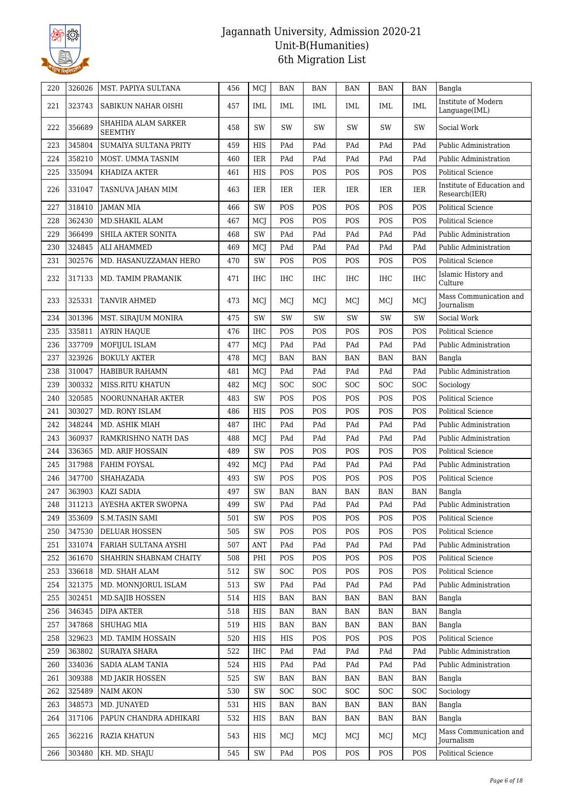

| 220 | 326026 | MST. PAPIYA SULTANA                   | 456 | MCJ        | <b>BAN</b> | <b>BAN</b> | <b>BAN</b> | <b>BAN</b> | <b>BAN</b> | Bangla                                      |
|-----|--------|---------------------------------------|-----|------------|------------|------------|------------|------------|------------|---------------------------------------------|
| 221 | 323743 | SABIKUN NAHAR OISHI                   | 457 | <b>IML</b> | IML        | IML        | IML        | IML        | <b>IML</b> | Institute of Modern<br>Language(IML)        |
| 222 | 356689 | SHAHIDA ALAM SARKER<br><b>SEEMTHY</b> | 458 | SW         | SW         | SW         | SW         | SW         | SW         | Social Work                                 |
| 223 | 345804 | SUMAIYA SULTANA PRITY                 | 459 | HIS        | PAd        | PAd        | PAd        | PAd        | PAd        | Public Administration                       |
| 224 | 358210 | MOST. UMMA TASNIM                     | 460 | <b>IER</b> | PAd        | PAd        | PAd        | PAd        | PAd        | Public Administration                       |
| 225 | 335094 | KHADIZA AKTER                         | 461 | <b>HIS</b> | POS        | POS        | POS        | POS        | POS        | <b>Political Science</b>                    |
| 226 | 331047 | TASNUVA JAHAN MIM                     | 463 | <b>IER</b> | IER        | IER        | IER        | IER        | <b>IER</b> | Institute of Education and<br>Research(IER) |
| 227 | 318410 | <b>JAMAN MIA</b>                      | 466 | <b>SW</b>  | POS        | POS        | POS        | POS        | POS        | <b>Political Science</b>                    |
| 228 | 362430 | MD.SHAKIL ALAM                        | 467 | MCJ        | POS        | POS        | POS        | POS        | POS        | <b>Political Science</b>                    |
| 229 | 366499 | SHILA AKTER SONITA                    | 468 | SW         | PAd        | PAd        | PAd        | PAd        | PAd        | Public Administration                       |
| 230 | 324845 | ALI AHAMMED                           | 469 | MCJ        | PAd        | PAd        | PAd        | PAd        | PAd        | Public Administration                       |
| 231 | 302576 | MD. HASANUZZAMAN HERO                 | 470 | SW         | POS        | POS        | POS        | POS        | POS        | <b>Political Science</b>                    |
| 232 | 317133 | MD. TAMIM PRAMANIK                    | 471 | IHC        | <b>IHC</b> | <b>IHC</b> | IHC        | IHC        | <b>IHC</b> | Islamic History and<br>Culture              |
| 233 | 325331 | TANVIR AHMED                          | 473 | MCJ        | MCI        | MCJ        | MCI        | MCJ        | MCJ        | Mass Communication and<br><b>Journalism</b> |
| 234 | 301396 | MST. SIRAJUM MONIRA                   | 475 | SW         | SW         | SW         | SW         | SW         | SW         | Social Work                                 |
| 235 | 335811 | <b>AYRIN HAQUE</b>                    | 476 | <b>IHC</b> | POS        | POS        | POS        | POS        | POS        | <b>Political Science</b>                    |
| 236 | 337709 | MOFIJUL ISLAM                         | 477 | MCJ        | PAd        | PAd        | PAd        | PAd        | PAd        | Public Administration                       |
| 237 | 323926 | <b>BOKULY AKTER</b>                   | 478 | MCJ        | <b>BAN</b> | BAN        | <b>BAN</b> | BAN        | <b>BAN</b> | Bangla                                      |
| 238 | 310047 | HABIBUR RAHAMN                        | 481 | MCJ        | PAd        | PAd        | PAd        | PAd        | PAd        | Public Administration                       |
| 239 | 300332 | <b>MISS.RITU KHATUN</b>               | 482 | MCJ        | SOC        | <b>SOC</b> | <b>SOC</b> | SOC        | <b>SOC</b> | Sociology                                   |
| 240 | 320585 | NOORUNNAHAR AKTER                     | 483 | SW         | POS        | POS        | POS        | POS        | POS        | <b>Political Science</b>                    |
| 241 | 303027 | MD. RONY ISLAM                        | 486 | <b>HIS</b> | POS        | POS        | POS        | POS        | POS        | <b>Political Science</b>                    |
| 242 | 348244 | MD. ASHIK MIAH                        | 487 | <b>IHC</b> | PAd        | PAd        | PAd        | PAd        | PAd        | Public Administration                       |
| 243 | 360937 | RAMKRISHNO NATH DAS                   | 488 | MCJ        | PAd        | PAd        | PAd        | PAd        | PAd        | Public Administration                       |
| 244 | 336365 | <b>MD. ARIF HOSSAIN</b>               | 489 | SW         | POS        | POS        | POS        | POS        | POS        | <b>Political Science</b>                    |
| 245 | 317988 | FAHIM FOYSAL                          | 492 | MCJ        | PAd        | PAd        | PAd        | PAd        | PAd        | Public Administration                       |
| 246 | 347700 | SHAHAZADA                             | 493 | SW         | POS        | POS        | POS        | POS        | POS        | <b>Political Science</b>                    |
| 247 | 363903 | <b>KAZI SADIA</b>                     | 497 | SW         | <b>BAN</b> | <b>BAN</b> | <b>BAN</b> | <b>BAN</b> | <b>BAN</b> | Bangla                                      |
| 248 | 311213 | AYESHA AKTER SWOPNA                   | 499 | SW         | PAd        | PAd        | PAd        | PAd        | PAd        | Public Administration                       |
| 249 | 353609 | <b>S.M.TASIN SAMI</b>                 | 501 | SW         | POS        | POS        | POS        | POS        | POS        | Political Science                           |
| 250 | 347530 | DELUAR HOSSEN                         | 505 | SW         | POS        | POS        | POS        | POS        | POS        | <b>Political Science</b>                    |
| 251 | 331074 | FARIAH SULTANA AYSHI                  | 507 | ANT        | PAd        | PAd        | PAd        | PAd        | PAd        | Public Administration                       |
| 252 | 361670 | SHAHRIN SHABNAM CHAITY                | 508 | PHI        | POS        | POS        | POS        | POS        | POS        | <b>Political Science</b>                    |
| 253 | 336618 | MD. SHAH ALAM                         | 512 | SW         | <b>SOC</b> | POS        | POS        | POS        | POS        | Political Science                           |
| 254 | 321375 | MD. MONNJORUL ISLAM                   | 513 | SW         | PAd        | PAd        | PAd        | PAd        | PAd        | Public Administration                       |
| 255 | 302451 | <b>MD.SAIIB HOSSEN</b>                | 514 | HIS        | <b>BAN</b> | <b>BAN</b> | <b>BAN</b> | BAN        | <b>BAN</b> | Bangla                                      |
| 256 | 346345 | DIPA AKTER                            | 518 | HIS        | <b>BAN</b> | BAN        | <b>BAN</b> | <b>BAN</b> | <b>BAN</b> | Bangla                                      |
| 257 | 347868 | <b>SHUHAG MIA</b>                     | 519 | HIS        | BAN        | BAN        | BAN        | BAN        | <b>BAN</b> | Bangla                                      |
| 258 | 329623 | MD. TAMIM HOSSAIN                     | 520 | HIS        | HIS        | POS        | POS        | POS        | POS        | Political Science                           |
| 259 | 363802 | SURAIYA SHARA                         | 522 | IHC        | PAd        | PAd        | PAd        | PAd        | PAd        | Public Administration                       |
| 260 | 334036 | SADIA ALAM TANIA                      | 524 | HIS        | PAd        | PAd        | PAd        | PAd        | PAd        | Public Administration                       |
| 261 | 309388 | <b>MD JAKIR HOSSEN</b>                | 525 | SW         | BAN        | BAN        | BAN        | BAN        | BAN        | Bangla                                      |
| 262 | 325489 | <b>NAIM AKON</b>                      | 530 | SW         | SOC        | <b>SOC</b> | <b>SOC</b> | SOC        | <b>SOC</b> | Sociology                                   |
| 263 | 348573 | MD. JUNAYED                           | 531 | HIS        | BAN        | BAN        | BAN        | BAN        | BAN        | Bangla                                      |
| 264 | 317106 | PAPUN CHANDRA ADHIKARI                | 532 | HIS        | <b>BAN</b> | BAN        | <b>BAN</b> | BAN        | <b>BAN</b> | Bangla                                      |
| 265 | 362216 | RAZIA KHATUN                          | 543 | HIS        | MCJ        | MCJ        | MCJ        | MCJ        | MCJ        | Mass Communication and<br>Journalism        |
| 266 | 303480 | KH. MD. SHAJU                         | 545 | SW         | PAd        | POS        | POS        | POS        | POS        | Political Science                           |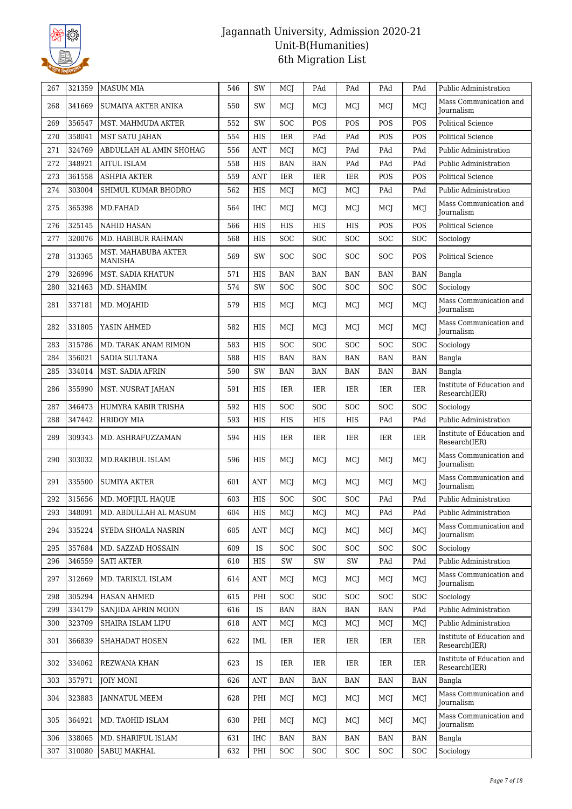

| 267 | 321359 | <b>MASUM MIA</b>                      | 546 | SW           | MCJ        | PAd        | PAd        | PAd        | PAd        | Public Administration                                                        |
|-----|--------|---------------------------------------|-----|--------------|------------|------------|------------|------------|------------|------------------------------------------------------------------------------|
| 268 | 341669 | <b>SUMAIYA AKTER ANIKA</b>            | 550 | SW           | MCI        | MCI        | MCJ        | MCJ        | MCJ        | Mass Communication and<br><b>Iournalism</b>                                  |
| 269 | 356547 | MST. MAHMUDA AKTER                    | 552 | SW           | <b>SOC</b> | POS        | POS        | POS        | POS        | <b>Political Science</b>                                                     |
| 270 | 358041 | <b>MST SATU JAHAN</b>                 | 554 | <b>HIS</b>   | <b>IER</b> | PAd        | PAd        | POS        | POS        | <b>Political Science</b>                                                     |
| 271 | 324769 | ABDULLAH AL AMIN SHOHAG               | 556 | <b>ANT</b>   | MCJ        | MCJ        | PAd        | PAd        | PAd        | Public Administration                                                        |
| 272 | 348921 | <b>AITUL ISLAM</b>                    | 558 | <b>HIS</b>   | <b>BAN</b> | <b>BAN</b> | PAd        | PAd        | PAd        | Public Administration                                                        |
| 273 | 361558 | <b>ASHPIA AKTER</b>                   | 559 | <b>ANT</b>   | <b>IER</b> | IER        | IER        | POS        | POS        | <b>Political Science</b>                                                     |
| 274 | 303004 | SHIMUL KUMAR BHODRO                   | 562 | HIS          | MCJ        | MCJ        | MCI        | PAd        | PAd        | Public Administration                                                        |
| 275 | 365398 | MD.FAHAD                              | 564 | <b>IHC</b>   | <b>MCI</b> | MCI        | <b>MCI</b> | MCJ        | MCI        | Mass Communication and<br><b>Journalism</b>                                  |
| 276 | 325145 | <b>NAHID HASAN</b>                    | 566 | <b>HIS</b>   | HIS        | <b>HIS</b> | <b>HIS</b> | POS        | POS        | <b>Political Science</b>                                                     |
| 277 | 320076 | MD. HABIBUR RAHMAN                    | 568 | <b>HIS</b>   | <b>SOC</b> | SOC        | <b>SOC</b> | SOC        | SOC        | Sociology                                                                    |
| 278 | 313365 | MST. MAHABUBA AKTER<br><b>MANISHA</b> | 569 | SW           | SOC        | <b>SOC</b> | <b>SOC</b> | SOC        | POS        | <b>Political Science</b>                                                     |
| 279 | 326996 | MST. SADIA KHATUN                     | 571 | <b>HIS</b>   | <b>BAN</b> | <b>BAN</b> | <b>BAN</b> | <b>BAN</b> | <b>BAN</b> | Bangla                                                                       |
| 280 | 321463 | MD. SHAMIM                            | 574 | SW           | <b>SOC</b> | SOC        | <b>SOC</b> | SOC        | SOC        | Sociology                                                                    |
| 281 | 337181 | MD. MOJAHID                           | 579 | HIS          | MCI        | MCI        | MCI        | MCJ        | MCJ        | Mass Communication and<br><b>Journalism</b>                                  |
| 282 | 331805 | YASIN AHMED                           | 582 | HIS          | <b>MCI</b> | MCI        | <b>MCI</b> | MCJ        | MCJ        | Mass Communication and<br><b>Journalism</b>                                  |
| 283 | 315786 | MD. TARAK ANAM RIMON                  | 583 | <b>HIS</b>   | <b>SOC</b> | SOC        | <b>SOC</b> | SOC        | SOC        | Sociology                                                                    |
| 284 | 356021 | <b>SADIA SULTANA</b>                  | 588 | <b>HIS</b>   | <b>BAN</b> | <b>BAN</b> | <b>BAN</b> | <b>BAN</b> | <b>BAN</b> | Bangla                                                                       |
| 285 | 334014 | MST. SADIA AFRIN                      | 590 | SW           | <b>BAN</b> | <b>BAN</b> | <b>BAN</b> | <b>BAN</b> | <b>BAN</b> | Bangla                                                                       |
| 286 | 355990 | MST. NUSRAT JAHAN                     | 591 | HIS          | IER        | IER        | IER        | IER        | <b>IER</b> | Institute of Education and<br>Research(IER)                                  |
| 287 | 346473 | HUMYRA KABIR TRISHA                   | 592 | <b>HIS</b>   | <b>SOC</b> | SOC        | <b>SOC</b> | SOC        | SOC        | Sociology                                                                    |
| 288 | 347442 | <b>HRIDOY MIA</b>                     | 593 | <b>HIS</b>   | <b>HIS</b> | <b>HIS</b> | HIS        | PAd        | PAd        | Public Administration                                                        |
| 289 | 309343 | MD. ASHRAFUZZAMAN                     | 594 | <b>HIS</b>   | IER        | IER        | IER        | IER        | IER        | Institute of Education and<br>Research(IER)                                  |
| 290 | 303032 | <b>MD.RAKIBUL ISLAM</b>               | 596 | <b>HIS</b>   | MCI        | MCI        | MCI        | MCJ        | MCJ        | Mass Communication and<br><b>Iournalism</b>                                  |
| 291 | 335500 | <b>SUMIYA AKTER</b>                   | 601 | <b>ANT</b>   | MCI        | MCI        | MCI        | MCJ        | <b>MCJ</b> | Mass Communication and<br><b>Journalism</b>                                  |
| 292 | 315656 | MD. MOFIJUL HAQUE                     | 603 | <b>HIS</b>   | SOC        | SOC        | <b>SOC</b> | PAd        | PAd        | Public Administration                                                        |
| 293 | 348091 | MD. ABDULLAH AL MASUM                 | 604 | $_{\rm HIS}$ | MCJ        | MCJ        | MCJ        | PAd        | PAd        | Public Administration $% \left\vert \left( \mathcal{A}\right) \right\rangle$ |
| 294 | 335224 | SYEDA SHOALA NASRIN                   | 605 | ANT          | MCI        | MCI        | MCJ        | MCJ        | MCJ        | Mass Communication and<br><b>Journalism</b>                                  |
| 295 | 357684 | MD. SAZZAD HOSSAIN                    | 609 | <b>IS</b>    | <b>SOC</b> | <b>SOC</b> | <b>SOC</b> | SOC        | <b>SOC</b> | Sociology                                                                    |
| 296 | 346559 | <b>SATI AKTER</b>                     | 610 | HIS          | SW         | SW         | SW         | PAd        | PAd        | Public Administration                                                        |
| 297 | 312669 | MD. TARIKUL ISLAM                     | 614 | <b>ANT</b>   | MCJ        | MCJ        | MCJ        | MCJ        | MCJ        | Mass Communication and<br>Journalism                                         |
| 298 | 305294 | <b>HASAN AHMED</b>                    | 615 | PHI          | <b>SOC</b> | <b>SOC</b> | <b>SOC</b> | SOC        | <b>SOC</b> | Sociology                                                                    |
| 299 | 334179 | SANJIDA AFRIN MOON                    | 616 | <b>IS</b>    | <b>BAN</b> | <b>BAN</b> | <b>BAN</b> | <b>BAN</b> | PAd        | Public Administration                                                        |
| 300 | 323709 | SHAIRA ISLAM LIPU                     | 618 | <b>ANT</b>   | MCI        | MCJ        | MCI        | MCJ        | MCJ        | Public Administration                                                        |
| 301 | 366839 | SHAHADAT HOSEN                        | 622 | IML          | IER        | IER        | IER        | IER        | IER        | Institute of Education and<br>Research(IER)                                  |
| 302 | 334062 | REZWANA KHAN                          | 623 | <b>IS</b>    | IER        | IER        | IER        | IER        | IER        | Institute of Education and<br>Research(IER)                                  |
| 303 | 357971 | <b>JOIY MONI</b>                      | 626 | <b>ANT</b>   | BAN        | <b>BAN</b> | BAN        | BAN        | <b>BAN</b> | Bangla                                                                       |
| 304 | 323883 | JANNATUL MEEM                         | 628 | PHI          | MCJ        | MCJ        | MCJ        | MCJ        | MCJ        | Mass Communication and<br>Journalism                                         |
| 305 | 364921 | MD. TAOHID ISLAM                      | 630 | PHI          | MCJ        | MCJ        | MCJ        | MCJ        | MCJ        | Mass Communication and<br>Journalism                                         |
| 306 | 338065 | MD. SHARIFUL ISLAM                    | 631 | IHC          | <b>BAN</b> | <b>BAN</b> | <b>BAN</b> | <b>BAN</b> | <b>BAN</b> | Bangla                                                                       |
| 307 | 310080 | <b>SABUJ MAKHAL</b>                   | 632 | PHI          | SOC        | SOC        | SOC        | SOC        | <b>SOC</b> | Sociology                                                                    |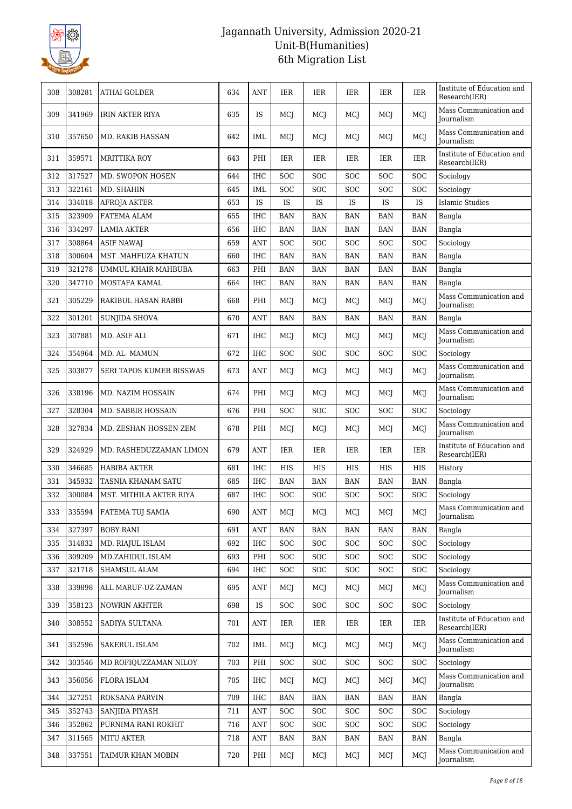

| 308 | 308281 | ATHAI GOLDER             | 634 | <b>ANT</b>           | IER        | IER        | IER        | IER        | IER        | Institute of Education and<br>Research(IER) |
|-----|--------|--------------------------|-----|----------------------|------------|------------|------------|------------|------------|---------------------------------------------|
| 309 | 341969 | <b>IRIN AKTER RIYA</b>   | 635 | <b>IS</b>            | <b>MCI</b> | MCI        | MCJ        | MCI        | <b>MCJ</b> | Mass Communication and<br><b>Journalism</b> |
| 310 | 357650 | MD. RAKIB HASSAN         | 642 | IML                  | MCI        | MCI        | MCJ        | MCI        | <b>MCJ</b> | Mass Communication and<br>Journalism        |
| 311 | 359571 | <b>MRITTIKA ROY</b>      | 643 | PHI                  | IER        | IER        | <b>IER</b> | IER        | <b>IER</b> | Institute of Education and<br>Research(IER) |
| 312 | 317527 | MD. SWOPON HOSEN         | 644 | <b>IHC</b>           | SOC        | <b>SOC</b> | <b>SOC</b> | <b>SOC</b> | <b>SOC</b> | Sociology                                   |
| 313 | 322161 | MD. SHAHIN               | 645 | <b>IML</b>           | <b>SOC</b> | SOC        | <b>SOC</b> | SOC        | <b>SOC</b> | Sociology                                   |
| 314 | 334018 | <b>AFROJA AKTER</b>      | 653 | IS                   | IS         | IS         | <b>IS</b>  | IS         | IS         | Islamic Studies                             |
| 315 | 323909 | FATEMA ALAM              | 655 | <b>IHC</b>           | <b>BAN</b> | <b>BAN</b> | <b>BAN</b> | <b>BAN</b> | <b>BAN</b> | Bangla                                      |
| 316 | 334297 | <b>LAMIA AKTER</b>       | 656 | <b>IHC</b>           | <b>BAN</b> | <b>BAN</b> | <b>BAN</b> | <b>BAN</b> | <b>BAN</b> | Bangla                                      |
| 317 | 308864 | <b>ASIF NAWAJ</b>        | 659 | <b>ANT</b>           | <b>SOC</b> | <b>SOC</b> | SOC        | <b>SOC</b> | <b>SOC</b> | Sociology                                   |
| 318 | 300604 | MST .MAHFUZA KHATUN      | 660 | <b>IHC</b>           | <b>BAN</b> | <b>BAN</b> | <b>BAN</b> | <b>BAN</b> | <b>BAN</b> | Bangla                                      |
| 319 | 321278 | UMMUL KHAIR MAHBUBA      | 663 | PHI                  | <b>BAN</b> | BAN        | <b>BAN</b> | <b>BAN</b> | <b>BAN</b> | Bangla                                      |
| 320 | 347710 | MOSTAFA KAMAL            | 664 | <b>IHC</b>           | <b>BAN</b> | <b>BAN</b> | <b>BAN</b> | <b>BAN</b> | <b>BAN</b> | Bangla                                      |
| 321 | 305229 | RAKIBUL HASAN RABBI      | 668 | PHI                  | MCI        | MCJ        | MCJ        | MCI        | MCJ        | Mass Communication and<br>Journalism        |
| 322 | 301201 | <b>SUNJIDA SHOVA</b>     | 670 | ANT                  | <b>BAN</b> | BAN        | <b>BAN</b> | <b>BAN</b> | <b>BAN</b> | Bangla                                      |
| 323 | 307881 | MD. ASIF ALI             | 671 | IHC                  | MCI        | MCJ        | MCJ        | MCJ        | MCJ        | Mass Communication and<br>Journalism        |
| 324 | 354964 | MD. AL-MAMUN             | 672 | <b>IHC</b>           | <b>SOC</b> | <b>SOC</b> | <b>SOC</b> | <b>SOC</b> | <b>SOC</b> | Sociology                                   |
| 325 | 303877 | SERI TAPOS KUMER BISSWAS | 673 | <b>ANT</b>           | MCJ        | MCJ        | MCJ        | MCJ        | MCJ        | Mass Communication and<br><b>Journalism</b> |
| 326 | 338196 | MD. NAZIM HOSSAIN        | 674 | PHI                  | MCI        | MCI        | MCJ        | MCJ        | MCJ        | Mass Communication and<br>Journalism        |
| 327 | 328304 | MD. SABBIR HOSSAIN       | 676 | PHI                  | <b>SOC</b> | <b>SOC</b> | <b>SOC</b> | SOC        | <b>SOC</b> | Sociology                                   |
| 328 | 327834 | MD. ZESHAN HOSSEN ZEM    | 678 | PHI                  | MCJ        | MCJ        | MCJ        | MCJ        | MCJ        | Mass Communication and<br><b>Journalism</b> |
| 329 | 324929 | MD. RASHEDUZZAMAN LIMON  | 679 | <b>ANT</b>           | IER        | IER        | <b>IER</b> | IER        | IER        | Institute of Education and<br>Research(IER) |
| 330 | 346685 | <b>HABIBA AKTER</b>      | 681 | <b>IHC</b>           | HIS        | HIS        | HIS        | HIS        | HIS        | History                                     |
| 331 | 345932 | TASNIA KHANAM SATU       | 685 | <b>IHC</b>           | <b>BAN</b> | <b>BAN</b> | <b>BAN</b> | <b>BAN</b> | <b>BAN</b> | Bangla                                      |
| 332 | 300084 | MST. MITHILA AKTER RIYA  | 687 | <b>IHC</b>           | SOC        | <b>SOC</b> | <b>SOC</b> | <b>SOC</b> | <b>SOC</b> | Sociology                                   |
| 333 | 335594 | FATEMA TUJ SAMIA         | 690 | $\operatorname{ANT}$ | MCJ        | MCJ        | MCJ        | MCJ        | MCJ        | Mass Communication and<br>Journalism        |
| 334 | 327397 | <b>BOBY RANI</b>         | 691 | <b>ANT</b>           | <b>BAN</b> | <b>BAN</b> | <b>BAN</b> | <b>BAN</b> | <b>BAN</b> | Bangla                                      |
| 335 | 314832 | MD. RIAJUL ISLAM         | 692 | <b>IHC</b>           | <b>SOC</b> | SOC        | <b>SOC</b> | <b>SOC</b> | SOC        | Sociology                                   |
| 336 | 309209 | MD.ZAHIDUL ISLAM         | 693 | PHI                  | <b>SOC</b> | <b>SOC</b> | <b>SOC</b> | <b>SOC</b> | <b>SOC</b> | Sociology                                   |
| 337 | 321718 | SHAMSUL ALAM             | 694 | <b>IHC</b>           | <b>SOC</b> | <b>SOC</b> | <b>SOC</b> | <b>SOC</b> | <b>SOC</b> | Sociology                                   |
| 338 | 339898 | ALL MARUF-UZ-ZAMAN       | 695 | <b>ANT</b>           | MCJ        | MCI        | MCJ        | MCI        | MCJ        | Mass Communication and<br>Journalism        |
| 339 | 358123 | <b>NOWRIN AKHTER</b>     | 698 | IS                   | <b>SOC</b> | <b>SOC</b> | <b>SOC</b> | <b>SOC</b> | <b>SOC</b> | Sociology                                   |
| 340 | 308552 | SADIYA SULTANA           | 701 | ANT                  | IER        | IER        | IER        | IER        | IER        | Institute of Education and<br>Research(IER) |
| 341 | 352596 | SAKERUL ISLAM            | 702 | IML                  | MCI        | MCJ        | MCJ        | MCI        | MCJ        | Mass Communication and<br>Journalism        |
| 342 | 303546 | MD ROFIQUZZAMAN NILOY    | 703 | PHI                  | <b>SOC</b> | <b>SOC</b> | <b>SOC</b> | <b>SOC</b> | <b>SOC</b> | Sociology                                   |
| 343 | 356056 | FLORA ISLAM              | 705 | IHC                  | MCJ        | MCJ        | MCJ        | MCJ        | MCJ        | Mass Communication and<br>Journalism        |
| 344 | 327251 | ROKSANA PARVIN           | 709 | <b>IHC</b>           | <b>BAN</b> | <b>BAN</b> | <b>BAN</b> | <b>BAN</b> | <b>BAN</b> | Bangla                                      |
| 345 | 352743 | SANJIDA PIYASH           | 711 | <b>ANT</b>           | <b>SOC</b> | <b>SOC</b> | <b>SOC</b> | <b>SOC</b> | <b>SOC</b> | Sociology                                   |
| 346 | 352862 | PURNIMA RANI ROKHIT      | 716 | $\mathbf{ANT}$       | SOC        | SOC        | SOC        | SOC        | SOC        | Sociology                                   |
| 347 | 311565 | <b>MITU AKTER</b>        | 718 | <b>ANT</b>           | BAN        | BAN        | BAN        | BAN        | BAN        | Bangla                                      |
| 348 | 337551 | TAIMUR KHAN MOBIN        | 720 | PHI                  | MCJ        | MCJ        | MCJ        | MCJ        | MCJ        | Mass Communication and<br>Journalism        |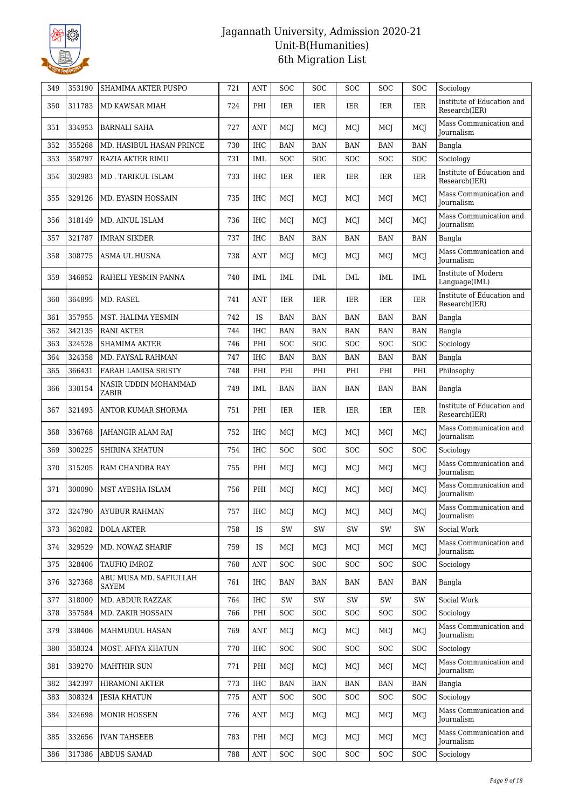

| 349 | 353190 | <b>SHAMIMA AKTER PUSPO</b>      | 721 | <b>ANT</b>     | <b>SOC</b> | <b>SOC</b> | <b>SOC</b> | SOC        | <b>SOC</b> | Sociology                                   |
|-----|--------|---------------------------------|-----|----------------|------------|------------|------------|------------|------------|---------------------------------------------|
| 350 | 311783 | MD KAWSAR MIAH                  | 724 | PHI            | IER        | IER        | IER        | IER        | IER        | Institute of Education and<br>Research(IER) |
| 351 | 334953 | <b>BARNALI SAHA</b>             | 727 | <b>ANT</b>     | <b>MCI</b> | MCI        | MCI        | MCJ        | MCJ        | Mass Communication and<br><b>Journalism</b> |
| 352 | 355268 | MD. HASIBUL HASAN PRINCE        | 730 | <b>IHC</b>     | <b>BAN</b> | <b>BAN</b> | <b>BAN</b> | <b>BAN</b> | <b>BAN</b> | Bangla                                      |
| 353 | 358797 | RAZIA AKTER RIMU                | 731 | <b>IML</b>     | <b>SOC</b> | <b>SOC</b> | <b>SOC</b> | SOC        | SOC        | Sociology                                   |
| 354 | 302983 | MD. TARIKUL ISLAM               | 733 | <b>IHC</b>     | IER        | IER        | IER        | IER        | IER        | Institute of Education and<br>Research(IER) |
| 355 | 329126 | MD. EYASIN HOSSAIN              | 735 | <b>IHC</b>     | MCI        | MCI        | MCI        | MCJ        | MCI        | Mass Communication and<br><b>Iournalism</b> |
| 356 | 318149 | MD. AINUL ISLAM                 | 736 | <b>IHC</b>     | MCJ        | MCI        | MCI        | MCJ        | MCJ        | Mass Communication and<br><b>Journalism</b> |
| 357 | 321787 | <b>IMRAN SIKDER</b>             | 737 | <b>IHC</b>     | <b>BAN</b> | <b>BAN</b> | <b>BAN</b> | <b>BAN</b> | <b>BAN</b> | Bangla                                      |
| 358 | 308775 | ASMA UL HUSNA                   | 738 | <b>ANT</b>     | MCJ        | MCI        | MCI        | MCJ        | MCJ        | Mass Communication and<br><b>Journalism</b> |
| 359 | 346852 | RAHELI YESMIN PANNA             | 740 | IML            | IML        | IML        | IML        | IML        | <b>IML</b> | Institute of Modern<br>Language(IML)        |
| 360 | 364895 | MD. RASEL                       | 741 | <b>ANT</b>     | IER        | <b>IER</b> | IER        | IER        | <b>IER</b> | Institute of Education and<br>Research(IER) |
| 361 | 357955 | MST. HALIMA YESMIN              | 742 | IS             | <b>BAN</b> | BAN        | BAN        | BAN        | <b>BAN</b> | Bangla                                      |
| 362 | 342135 | <b>RANI AKTER</b>               | 744 | <b>IHC</b>     | <b>BAN</b> | <b>BAN</b> | <b>BAN</b> | <b>BAN</b> | <b>BAN</b> | Bangla                                      |
| 363 | 324528 | SHAMIMA AKTER                   | 746 | PHI            | <b>SOC</b> | SOC        | <b>SOC</b> | SOC        | SOC        | Sociology                                   |
| 364 | 324358 | MD. FAYSAL RAHMAN               | 747 | <b>IHC</b>     | <b>BAN</b> | BAN        | <b>BAN</b> | <b>BAN</b> | <b>BAN</b> | Bangla                                      |
| 365 | 366431 | FARAH LAMISA SRISTY             | 748 | PHI            | PHI        | PHI        | PHI        | PHI        | PHI        | Philosophy                                  |
| 366 | 330154 | NASIR UDDIN MOHAMMAD<br>ZABIR   | 749 | IML            | <b>BAN</b> | <b>BAN</b> | <b>BAN</b> | <b>BAN</b> | <b>BAN</b> | Bangla                                      |
| 367 | 321493 | ANTOR KUMAR SHORMA              | 751 | PHI            | IER        | IER        | IER        | IER        | <b>IER</b> | Institute of Education and<br>Research(IER) |
| 368 | 336768 | JAHANGIR ALAM RAJ               | 752 | <b>IHC</b>     | MCI        | MCI        | MCI        | MCJ        | MCJ        | Mass Communication and<br>Journalism        |
| 369 | 300225 | SHIRINA KHATUN                  | 754 | <b>IHC</b>     | <b>SOC</b> | <b>SOC</b> | <b>SOC</b> | SOC        | <b>SOC</b> | Sociology                                   |
| 370 | 315205 | RAM CHANDRA RAY                 | 755 | PHI            | MCI        | MCJ        | MCJ        | MCJ        | MCJ        | Mass Communication and<br>Journalism        |
| 371 | 300090 | MST AYESHA ISLAM                | 756 | PHI            | MCI        | MCI        | MCI        | MCJ        | MCJ        | Mass Communication and<br>Journalism        |
| 372 | 324790 | <b>AYUBUR RAHMAN</b>            | 757 | $\rm IHC$      | MCJ        | MCJ        | MCJ        | MCJ        | MCJ        | Mass Communication and<br>Journalism        |
| 373 | 362082 | <b>DOLA AKTER</b>               | 758 | IS             | SW         | SW         | SW         | SW         | SW         | Social Work                                 |
| 374 | 329529 | MD. NOWAZ SHARIF                | 759 | <b>IS</b>      | MCJ        | MCI        | MCJ        | MCJ        | MCJ        | Mass Communication and<br>Journalism        |
| 375 | 328406 | <b>TAUFIO IMROZ</b>             | 760 | ANT            | <b>SOC</b> | <b>SOC</b> | <b>SOC</b> | <b>SOC</b> | <b>SOC</b> | Sociology                                   |
| 376 | 327368 | ABU MUSA MD. SAFIULLAH<br>SAYEM | 761 | <b>IHC</b>     | BAN        | BAN        | BAN        | BAN        | BAN        | Bangla                                      |
| 377 | 318000 | MD. ABDUR RAZZAK                | 764 | <b>IHC</b>     | SW         | SW         | SW         | SW         | SW         | Social Work                                 |
| 378 | 357584 | MD. ZAKIR HOSSAIN               | 766 | PHI            | <b>SOC</b> | <b>SOC</b> | <b>SOC</b> | SOC        | <b>SOC</b> | Sociology                                   |
| 379 | 338406 | MAHMUDUL HASAN                  | 769 | <b>ANT</b>     | MCJ        | MCI        | MCJ        | MCJ        | MCJ        | Mass Communication and<br>Journalism        |
| 380 | 358324 | MOST. AFIYA KHATUN              | 770 | IHC            | <b>SOC</b> | <b>SOC</b> | SOC        | SOC        | SOC        | Sociology                                   |
| 381 | 339270 | <b>MAHTHIR SUN</b>              | 771 | PHI            | MCJ        | MCJ        | MCJ        | MCJ        | MCJ        | Mass Communication and<br>Journalism        |
| 382 | 342397 | <b>HIRAMONI AKTER</b>           | 773 | <b>IHC</b>     | <b>BAN</b> | <b>BAN</b> | <b>BAN</b> | <b>BAN</b> | <b>BAN</b> | Bangla                                      |
| 383 | 308324 | <b>JESIA KHATUN</b>             | 775 | $\mathbf{ANT}$ | <b>SOC</b> | <b>SOC</b> | <b>SOC</b> | <b>SOC</b> | <b>SOC</b> | Sociology                                   |
| 384 | 324698 | MONIR HOSSEN                    | 776 | <b>ANT</b>     | MCJ        | MCI        | MCJ        | MCJ        | MCJ        | Mass Communication and<br>Journalism        |
| 385 | 332656 | <b>IVAN TAHSEEB</b>             | 783 | PHI            | MCJ        | MCJ        | MCJ        | MCJ        | MCJ        | Mass Communication and<br>Journalism        |
| 386 | 317386 | <b>ABDUS SAMAD</b>              | 788 | ANT            | <b>SOC</b> | <b>SOC</b> | <b>SOC</b> | SOC        | <b>SOC</b> | Sociology                                   |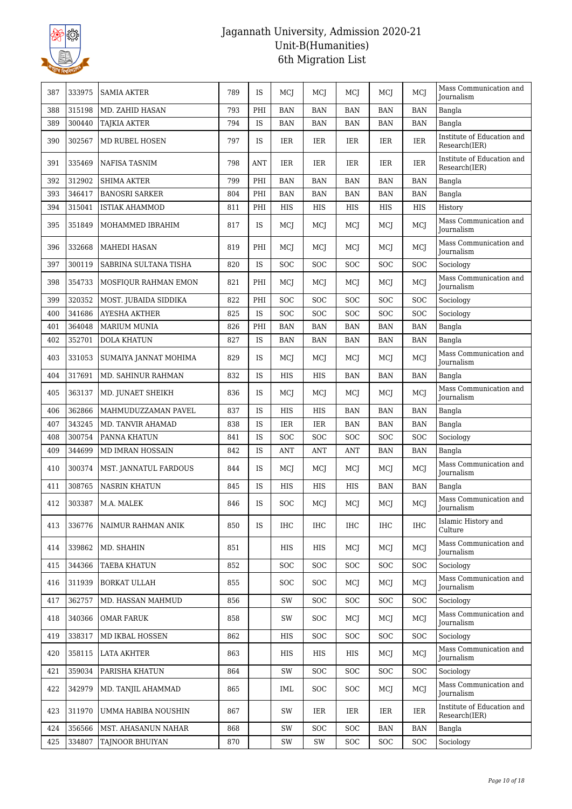

| 387 | 333975 | <b>SAMIA AKTER</b>    | 789 | <b>IS</b>  | MCJ        | MCJ        | MCI        | MCJ        | MCJ        | Mass Communication and<br><b>Journalism</b> |
|-----|--------|-----------------------|-----|------------|------------|------------|------------|------------|------------|---------------------------------------------|
| 388 | 315198 | MD. ZAHID HASAN       | 793 | PHI        | <b>BAN</b> | <b>BAN</b> | <b>BAN</b> | BAN        | <b>BAN</b> | Bangla                                      |
| 389 | 300440 | <b>TAJKIA AKTER</b>   | 794 | IS         | <b>BAN</b> | <b>BAN</b> | <b>BAN</b> | <b>BAN</b> | <b>BAN</b> | Bangla                                      |
| 390 | 302567 | MD RUBEL HOSEN        | 797 | IS         | IER        | IER        | IER        | IER        | IER        | Institute of Education and<br>Research(IER) |
| 391 | 335469 | NAFISA TASNIM         | 798 | <b>ANT</b> | IER        | IER        | IER        | IER        | IER        | Institute of Education and<br>Research(IER) |
| 392 | 312902 | <b>SHIMA AKTER</b>    | 799 | PHI        | <b>BAN</b> | <b>BAN</b> | <b>BAN</b> | <b>BAN</b> | <b>BAN</b> | Bangla                                      |
| 393 | 346417 | <b>BANOSRI SARKER</b> | 804 | PHI        | <b>BAN</b> | <b>BAN</b> | <b>BAN</b> | <b>BAN</b> | <b>BAN</b> | Bangla                                      |
| 394 | 315041 | <b>ISTIAK AHAMMOD</b> | 811 | PHI        | HIS        | HIS        | HIS        | HIS        | HIS        | History                                     |
| 395 | 351849 | MOHAMMED IBRAHIM      | 817 | IS         | MCJ        | MCJ        | MCJ        | MCJ        | MCJ        | Mass Communication and<br>Journalism        |
| 396 | 332668 | MAHEDI HASAN          | 819 | PHI        | MCI        | MCI        | MCI        | MCJ        | <b>MCJ</b> | Mass Communication and<br>Journalism        |
| 397 | 300119 | SABRINA SULTANA TISHA | 820 | <b>IS</b>  | <b>SOC</b> | <b>SOC</b> | <b>SOC</b> | <b>SOC</b> | <b>SOC</b> | Sociology                                   |
| 398 | 354733 | MOSFIQUR RAHMAN EMON  | 821 | PHI        | MCJ        | MCJ        | MCJ        | MCJ        | MCJ        | Mass Communication and<br>Journalism        |
| 399 | 320352 | MOST. JUBAIDA SIDDIKA | 822 | PHI        | SOC        | <b>SOC</b> | <b>SOC</b> | SOC        | <b>SOC</b> | Sociology                                   |
| 400 | 341686 | AYESHA AKTHER         | 825 | IS         | SOC        | SOC        | SOC        | SOC        | SOC        | Sociology                                   |
| 401 | 364048 | <b>MARIUM MUNIA</b>   | 826 | PHI        | <b>BAN</b> | <b>BAN</b> | <b>BAN</b> | <b>BAN</b> | <b>BAN</b> | Bangla                                      |
| 402 | 352701 | <b>DOLA KHATUN</b>    | 827 | IS         | <b>BAN</b> | <b>BAN</b> | <b>BAN</b> | <b>BAN</b> | <b>BAN</b> | Bangla                                      |
| 403 | 331053 | SUMAIYA JANNAT MOHIMA | 829 | IS         | MCJ        | MCJ        | MCJ        | MCJ        | MCJ        | Mass Communication and<br>Journalism        |
| 404 | 317691 | MD. SAHINUR RAHMAN    | 832 | IS         | HIS        | HIS        | BAN        | BAN        | <b>BAN</b> | Bangla                                      |
| 405 | 363137 | MD. JUNAET SHEIKH     | 836 | <b>IS</b>  | MCI        | MCJ        | MCJ        | MCJ        | MCJ        | Mass Communication and<br>Journalism        |
| 406 | 362866 | MAHMUDUZZAMAN PAVEL   | 837 | IS         | HIS        | HIS        | <b>BAN</b> | <b>BAN</b> | <b>BAN</b> | Bangla                                      |
| 407 | 343245 | MD. TANVIR AHAMAD     | 838 | IS         | <b>IER</b> | <b>IER</b> | <b>BAN</b> | <b>BAN</b> | <b>BAN</b> | Bangla                                      |
| 408 | 300754 | PANNA KHATUN          | 841 | IS         | SOC        | <b>SOC</b> | <b>SOC</b> | SOC        | <b>SOC</b> | Sociology                                   |
| 409 | 344699 | MD IMRAN HOSSAIN      | 842 | IS         | ANT        | <b>ANT</b> | <b>ANT</b> | <b>BAN</b> | <b>BAN</b> | Bangla                                      |
| 410 | 300374 | MST. JANNATUL FARDOUS | 844 | IS         | MCJ        | MCJ        | MCJ        | MCJ        | MCJ        | Mass Communication and<br>Journalism        |
| 411 | 308765 | <b>NASRIN KHATUN</b>  | 845 | IS         | HIS        | HIS        | HIS        | <b>BAN</b> | <b>BAN</b> | Bangla                                      |
| 412 | 303387 | M.A. MALEK            | 846 | IS         | SOC        | MCJ        | MCJ        | MCJ        | MCJ        | Mass Communication and<br><b>Journalism</b> |
| 413 | 336776 | NAIMUR RAHMAN ANIK    | 850 | IS         | IHC        | <b>IHC</b> | IHC        | <b>IHC</b> | <b>IHC</b> | Islamic History and<br>Culture              |
| 414 | 339862 | MD. SHAHIN            | 851 |            | HIS        | HIS        | MCJ        | MCJ        | MCJ        | Mass Communication and<br>Journalism        |
| 415 | 344366 | <b>TAEBA KHATUN</b>   | 852 |            | <b>SOC</b> | <b>SOC</b> | <b>SOC</b> | SOC        | <b>SOC</b> | Sociology                                   |
| 416 | 311939 | BORKAT ULLAH          | 855 |            | <b>SOC</b> | SOC        | MCJ        | MCJ        | MCJ        | Mass Communication and<br><b>Journalism</b> |
| 417 | 362757 | MD. HASSAN MAHMUD     | 856 |            | SW         | <b>SOC</b> | <b>SOC</b> | SOC        | <b>SOC</b> | Sociology                                   |
| 418 | 340366 | <b>OMAR FARUK</b>     | 858 |            | SW         | <b>SOC</b> | MCJ        | MCJ        | MCJ        | Mass Communication and<br><b>Journalism</b> |
| 419 | 338317 | MD IKBAL HOSSEN       | 862 |            | HIS        | <b>SOC</b> | <b>SOC</b> | <b>SOC</b> | <b>SOC</b> | Sociology                                   |
| 420 | 358115 | <b>LATA AKHTER</b>    | 863 |            | HIS        | HIS        | HIS        | MCJ        | MCJ        | Mass Communication and<br>Journalism        |
| 421 | 359034 | PARISHA KHATUN        | 864 |            | SW         | <b>SOC</b> | <b>SOC</b> | <b>SOC</b> | <b>SOC</b> | Sociology                                   |
| 422 | 342979 | MD. TANJIL AHAMMAD    | 865 |            | IML        | <b>SOC</b> | <b>SOC</b> | MCJ        | MCJ        | Mass Communication and<br>Journalism        |
| 423 | 311970 | UMMA HABIBA NOUSHIN   | 867 |            | SW         | IER        | IER        | IER        | IER        | Institute of Education and<br>Research(IER) |
| 424 | 356566 | MST. AHASANUN NAHAR   | 868 |            | SW         | <b>SOC</b> | <b>SOC</b> | <b>BAN</b> | <b>BAN</b> | Bangla                                      |
| 425 | 334807 | TAJNOOR BHUIYAN       | 870 |            | SW         | SW         | <b>SOC</b> | <b>SOC</b> | <b>SOC</b> | Sociology                                   |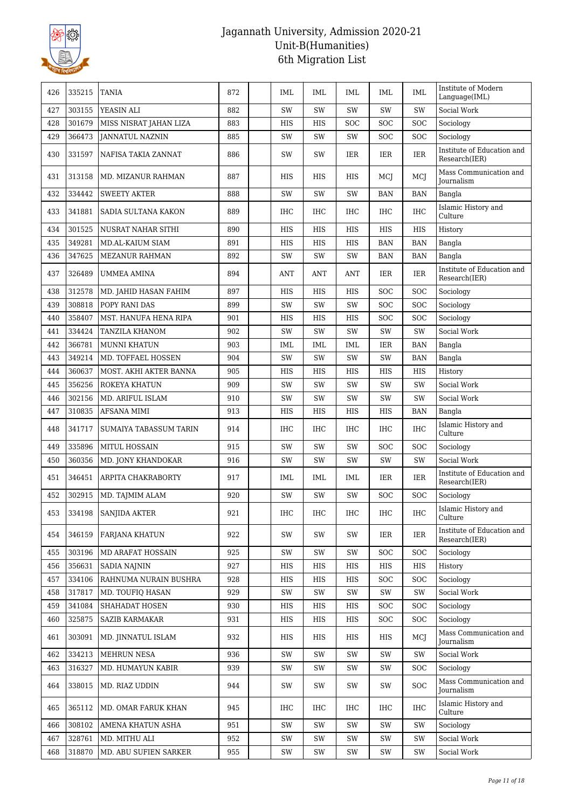

| 426 | 335215 | TANIA                    | 872 | IML           | IML        | IML        | IML        | IML        | Institute of Modern<br>Language(IML)        |
|-----|--------|--------------------------|-----|---------------|------------|------------|------------|------------|---------------------------------------------|
| 427 | 303155 | YEASIN ALI               | 882 | SW            | SW         | SW         | SW         | SW         | Social Work                                 |
| 428 | 301679 | MISS NISRAT JAHAN LIZA   | 883 | HIS           | HIS        | SOC        | SOC        | SOC        | Sociology                                   |
| 429 | 366473 | <b>JANNATUL NAZNIN</b>   | 885 | SW            | SW         | SW         | SOC        | SOC        | Sociology                                   |
| 430 | 331597 | NAFISA TAKIA ZANNAT      | 886 | SW            | SW         | IER        | IER        | IER        | Institute of Education and<br>Research(IER) |
| 431 | 313158 | MD. MIZANUR RAHMAN       | 887 | HIS           | HIS        | HIS        | MCJ        | MCJ        | Mass Communication and<br>Journalism        |
| 432 | 334442 | <b>SWEETY AKTER</b>      | 888 | <b>SW</b>     | SW         | <b>SW</b>  | <b>BAN</b> | <b>BAN</b> | Bangla                                      |
| 433 | 341881 | SADIA SULTANA KAKON      | 889 | <b>IHC</b>    | <b>IHC</b> | IHC        | <b>IHC</b> | <b>IHC</b> | Islamic History and<br>Culture              |
| 434 | 301525 | NUSRAT NAHAR SITHI       | 890 | <b>HIS</b>    | <b>HIS</b> | <b>HIS</b> | <b>HIS</b> | HIS        | History                                     |
| 435 | 349281 | MD.AL-KAIUM SIAM         | 891 | HIS           | HIS        | HIS        | BAN        | <b>BAN</b> | Bangla                                      |
| 436 | 347625 | <b>MEZANUR RAHMAN</b>    | 892 | SW            | SW         | SW         | BAN        | <b>BAN</b> | Bangla                                      |
| 437 | 326489 | <b>UMMEA AMINA</b>       | 894 | <b>ANT</b>    | ANT        | <b>ANT</b> | IER        | <b>IER</b> | Institute of Education and<br>Research(IER) |
| 438 | 312578 | MD. JAHID HASAN FAHIM    | 897 | HIS           | <b>HIS</b> | HIS        | SOC        | SOC        | Sociology                                   |
| 439 | 308818 | POPY RANI DAS            | 899 | SW            | SW         | SW         | SOC        | SOC        | Sociology                                   |
| 440 | 358407 | MST. HANUFA HENA RIPA    | 901 | HIS           | HIS        | HIS        | SOC        | <b>SOC</b> | Sociology                                   |
| 441 | 334424 | TANZILA KHANOM           | 902 | SW            | SW         | SW         | SW         | SW         | Social Work                                 |
| 442 | 366781 | <b>MUNNI KHATUN</b>      | 903 | IML           | IML        | IML        | IER        | <b>BAN</b> | Bangla                                      |
| 443 | 349214 | MD. TOFFAEL HOSSEN       | 904 | SW            | SW         | SW         | SW         | <b>BAN</b> | Bangla                                      |
| 444 | 360637 | MOST. AKHI AKTER BANNA   | 905 | HIS           | HIS        | <b>HIS</b> | <b>HIS</b> | <b>HIS</b> | History                                     |
| 445 | 356256 | ROKEYA KHATUN            | 909 | SW            | SW         | SW         | SW         | SW         | Social Work                                 |
| 446 | 302156 | MD. ARIFUL ISLAM         | 910 | SW            | SW         | SW         | SW         | SW         | Social Work                                 |
| 447 | 310835 | AFSANA MIMI              | 913 | HIS           | HIS        | HIS        | <b>HIS</b> | <b>BAN</b> | Bangla                                      |
| 448 | 341717 | SUMAIYA TABASSUM TARIN   | 914 | <b>IHC</b>    | <b>IHC</b> | IHC        | IHC        | <b>IHC</b> | Islamic History and<br>Culture              |
| 449 | 335896 | MITUL HOSSAIN            | 915 | SW            | SW         | SW         | SOC        | SOC        | Sociology                                   |
| 450 | 360356 | MD. JONY KHANDOKAR       | 916 | SW            | SW         | SW         | SW         | SW         | Social Work                                 |
| 451 | 346451 | ARPITA CHAKRABORTY       | 917 | IML           | IML        | IML        | IER        | IER        | Institute of Education and<br>Research(IER) |
| 452 | 302915 | MD. TAJMIM ALAM          | 920 | SW            | SW         | SW         | <b>SOC</b> | <b>SOC</b> | Sociology                                   |
| 453 | 334198 | <b>SANJIDA AKTER</b>     | 921 | $\rm IHC$     | IHC        | $\rm IHC$  | $\rm IHC$  | $\rm IHC$  | Islamic History and<br>Culture              |
| 454 | 346159 | FARJANA KHATUN           | 922 | SW            | SW         | SW         | IER        | IER        | Institute of Education and<br>Research(IER) |
| 455 | 303196 | <b>MD ARAFAT HOSSAIN</b> | 925 | SW            | SW         | SW         | SOC        | <b>SOC</b> | Sociology                                   |
| 456 | 356631 | <b>SADIA NAJNIN</b>      | 927 | HIS           | HIS        | HIS        | HIS        | HIS        | History                                     |
| 457 | 334106 | RAHNUMA NURAIN BUSHRA    | 928 | HIS           | HIS        | HIS        | SOC        | <b>SOC</b> | Sociology                                   |
| 458 | 317817 | MD. TOUFIQ HASAN         | 929 | SW            | SW         | SW         | SW         | SW         | Social Work                                 |
| 459 | 341084 | SHAHADAT HOSEN           | 930 | HIS           | HIS        | HIS        | SOC        | <b>SOC</b> | Sociology                                   |
| 460 | 325875 | <b>SAZIB KARMAKAR</b>    | 931 | HIS           | HIS        | HIS        | <b>SOC</b> | <b>SOC</b> | Sociology                                   |
| 461 | 303091 | MD. JINNATUL ISLAM       | 932 | HIS           | HIS        | HIS        | HIS        | MCI        | Mass Communication and<br>Journalism        |
| 462 | 334213 | MEHRUN NESA              | 936 | SW            | SW         | SW         | SW         | SW         | Social Work                                 |
| 463 | 316327 | MD. HUMAYUN KABIR        | 939 | SW            | SW         | SW         | SW         | <b>SOC</b> | Sociology                                   |
| 464 | 338015 | MD. RIAZ UDDIN           | 944 | SW            | SW         | SW         | SW         | <b>SOC</b> | Mass Communication and<br>Journalism        |
| 465 | 365112 | MD. OMAR FARUK KHAN      | 945 | IHC           | <b>IHC</b> | IHC        | IHC        | <b>IHC</b> | Islamic History and<br>Culture              |
| 466 | 308102 | AMENA KHATUN ASHA        | 951 | SW            | SW         | SW         | SW         | SW         | Sociology                                   |
| 467 | 328761 | MD. MITHU ALI            | 952 | SW            | SW         | SW         | SW         | SW         | Social Work                                 |
| 468 | 318870 | MD. ABU SUFIEN SARKER    | 955 | $\mathrm{SW}$ | SW         | SW         | SW         | SW         | Social Work                                 |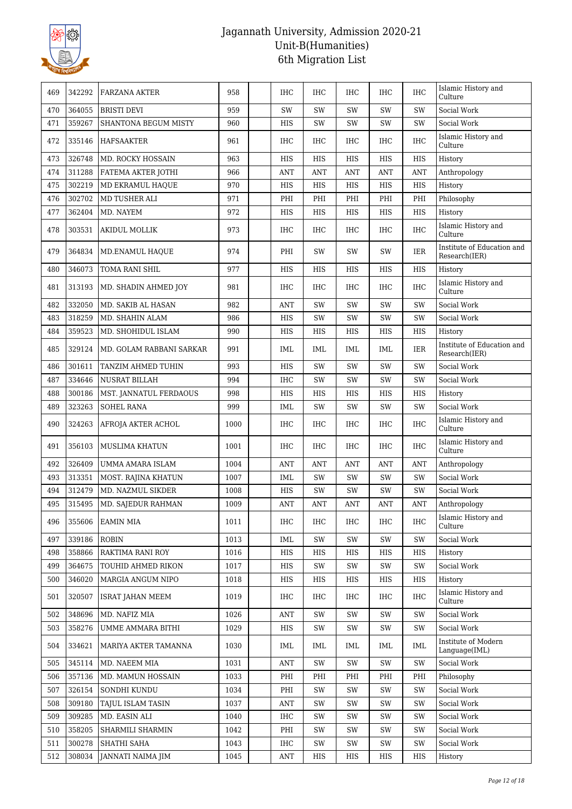

| 469 | 342292 | FARZANA AKTER            | 958  | <b>IHC</b> | <b>IHC</b> | <b>IHC</b> | <b>IHC</b> | <b>IHC</b> | Islamic History and<br>Culture              |
|-----|--------|--------------------------|------|------------|------------|------------|------------|------------|---------------------------------------------|
| 470 | 364055 | <b>BRISTI DEVI</b>       | 959  | SW         | SW         | SW         | SW         | SW         | Social Work                                 |
| 471 | 359267 | SHANTONA BEGUM MISTY     | 960  | HIS        | SW         | SW         | SW         | SW         | Social Work                                 |
| 472 | 335146 | HAFSAAKTER               | 961  | IHC        | IHC        | IHC        | <b>IHC</b> | IHC        | Islamic History and<br>Culture              |
| 473 | 326748 | MD. ROCKY HOSSAIN        | 963  | HIS        | HIS        | <b>HIS</b> | <b>HIS</b> | <b>HIS</b> | History                                     |
| 474 | 311288 | FATEMA AKTER JOTHI       | 966  | <b>ANT</b> | <b>ANT</b> | <b>ANT</b> | ANT        | <b>ANT</b> | Anthropology                                |
| 475 | 302219 | MD EKRAMUL HAQUE         | 970  | HIS        | HIS        | HIS        | HIS        | HIS        | History                                     |
| 476 | 302702 | MD TUSHER ALI            | 971  | PHI        | PHI        | PHI        | PHI        | PHI        | Philosophy                                  |
| 477 | 362404 | MD. NAYEM                | 972  | HIS        | HIS        | <b>HIS</b> | <b>HIS</b> | <b>HIS</b> | History                                     |
| 478 | 303531 | <b>AKIDUL MOLLIK</b>     | 973  | <b>IHC</b> | <b>IHC</b> | <b>IHC</b> | <b>IHC</b> | <b>IHC</b> | Islamic History and<br>Culture              |
| 479 | 364834 | MD.ENAMUL HAQUE          | 974  | PHI        | SW         | SW         | SW         | <b>IER</b> | Institute of Education and<br>Research(IER) |
| 480 | 346073 | TOMA RANI SHIL           | 977  | HIS        | HIS        | HIS        | HIS        | <b>HIS</b> | History                                     |
| 481 | 313193 | MD. SHADIN AHMED JOY     | 981  | <b>IHC</b> | <b>IHC</b> | <b>IHC</b> | <b>IHC</b> | <b>IHC</b> | Islamic History and<br>Culture              |
| 482 | 332050 | MD. SAKIB AL HASAN       | 982  | <b>ANT</b> | SW         | SW         | SW         | SW         | Social Work                                 |
| 483 | 318259 | MD. SHAHIN ALAM          | 986  | HIS        | SW         | SW         | SW         | SW         | Social Work                                 |
| 484 | 359523 | MD. SHOHIDUL ISLAM       | 990  | HIS        | HIS        | HIS        | HIS        | HIS        | History                                     |
| 485 | 329124 | MD. GOLAM RABBANI SARKAR | 991  | IML        | IML        | IML        | IML        | <b>IER</b> | Institute of Education and<br>Research(IER) |
| 486 | 301611 | TANZIM AHMED TUHIN       | 993  | <b>HIS</b> | SW         | SW         | SW         | SW         | Social Work                                 |
| 487 | 334646 | <b>NUSRAT BILLAH</b>     | 994  | <b>IHC</b> | SW         | SW         | SW         | SW         | Social Work                                 |
| 488 | 300186 | MST. JANNATUL FERDAOUS   | 998  | HIS        | HIS        | HIS        | HIS        | HIS        | History                                     |
| 489 | 323263 | <b>SOHEL RANA</b>        | 999  | IML        | SW         | SW         | SW         | SW         | Social Work                                 |
| 490 | 324263 | AFROJA AKTER ACHOL       | 1000 | <b>IHC</b> | IHC        | <b>IHC</b> | IHC        | <b>IHC</b> | Islamic History and<br>Culture              |
| 491 | 356103 | MUSLIMA KHATUN           | 1001 | <b>IHC</b> | <b>IHC</b> | IHC        | <b>IHC</b> | <b>IHC</b> | Islamic History and<br>Culture              |
| 492 | 326409 | UMMA AMARA ISLAM         | 1004 | <b>ANT</b> | ANT        | ANT        | ANT        | <b>ANT</b> | Anthropology                                |
| 493 | 313351 | MOST. RAJINA KHATUN      | 1007 | IML        | SW         | SW         | SW         | SW         | Social Work                                 |
| 494 | 312479 | MD. NAZMUL SIKDER        | 1008 | HIS        | SW         | SW         | SW         | SW         | Social Work                                 |
| 495 | 315495 | MD. SAJEDUR RAHMAN       | 1009 | ANT        | ANT        | ANT        | ANT        | <b>ANT</b> | Anthropology                                |
| 496 | 355606 | EAMIN MIA                | 1011 | IHC        | IHC        | IHC        | IHC        | <b>IHC</b> | Islamic History and<br>Culture              |
| 497 | 339186 | <b>ROBIN</b>             | 1013 | IML        | SW         | SW         | SW         | SW         | Social Work                                 |
| 498 | 358866 | RAKTIMA RANI ROY         | 1016 | HIS        | HIS        | HIS        | <b>HIS</b> | HIS        | History                                     |
| 499 | 364675 | TOUHID AHMED RIKON       | 1017 | HIS        | SW         | SW         | SW         | SW         | Social Work                                 |
| 500 | 346020 | MARGIA ANGUM NIPO        | 1018 | HIS        | HIS        | HIS        | HIS        | HIS        | History                                     |
| 501 | 320507 | <b>ISRAT JAHAN MEEM</b>  | 1019 | IHC        | IHC        | IHC        | IHC        | IHC        | Islamic History and<br>Culture              |
| 502 | 348696 | MD. NAFIZ MIA            | 1026 | <b>ANT</b> | SW         | SW         | SW         | SW         | Social Work                                 |
| 503 | 358276 | UMME AMMARA BITHI        | 1029 | HIS        | SW         | SW         | SW         | SW         | Social Work                                 |
| 504 | 334621 | MARIYA AKTER TAMANNA     | 1030 | IML        | IML        | IML        | IML        | IML        | Institute of Modern<br>Language(IML)        |
| 505 | 345114 | MD. NAEEM MIA            | 1031 | <b>ANT</b> | SW         | SW         | SW         | SW         | Social Work                                 |
| 506 | 357136 | MD. MAMUN HOSSAIN        | 1033 | PHI        | PHI        | PHI        | PHI        | PHI        | Philosophy                                  |
| 507 | 326154 | SONDHI KUNDU             | 1034 | PHI        | SW         | SW         | SW         | SW         | Social Work                                 |
| 508 | 309180 | TAJUL ISLAM TASIN        | 1037 | <b>ANT</b> | SW         | SW         | SW         | SW         | Social Work                                 |
| 509 | 309285 | MD. EASIN ALI            | 1040 | IHC        | SW         | SW         | SW         | SW         | Social Work                                 |
| 510 | 358205 | SHARMILI SHARMIN         | 1042 | PHI        | SW         | SW         | SW         | SW         | Social Work                                 |
| 511 | 300278 | SHATHI SAHA              | 1043 | IHC        | SW         | SW         | SW         | SW         | Social Work                                 |
| 512 | 308034 | JANNATI NAIMA JIM        | 1045 | <b>ANT</b> | HIS        | HIS        | HIS        | HIS        | History                                     |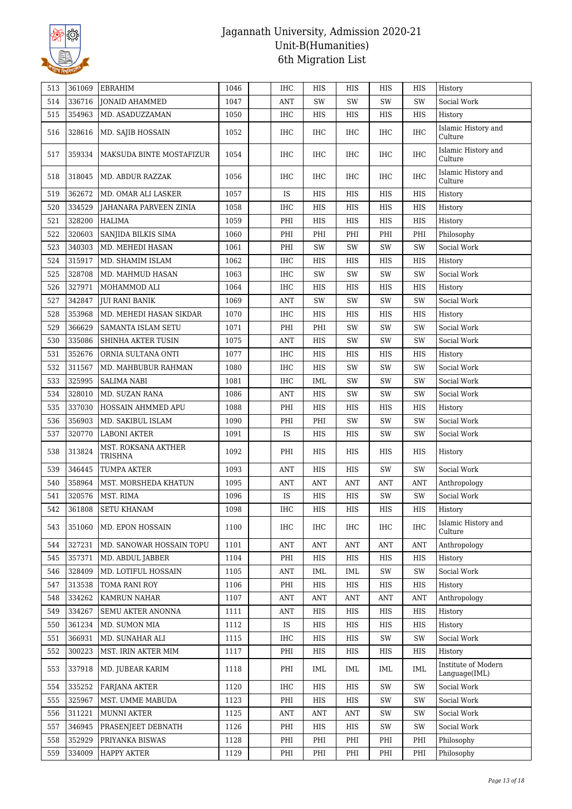

| 513 | 361069 | EBRAHIM                        | 1046 | <b>IHC</b> | HIS                  | <b>HIS</b> | HIS          | HIS        | History                              |
|-----|--------|--------------------------------|------|------------|----------------------|------------|--------------|------------|--------------------------------------|
| 514 | 336716 | <b>JONAID AHAMMED</b>          | 1047 | <b>ANT</b> | SW                   | SW         | SW           | SW         | Social Work                          |
| 515 | 354963 | MD. ASADUZZAMAN                | 1050 | IHC        | HIS                  | HIS        | HIS          | HIS        | History                              |
| 516 | 328616 | MD. SAJIB HOSSAIN              | 1052 | IHC        | <b>IHC</b>           | IHC        | <b>IHC</b>   | <b>IHC</b> | Islamic History and<br>Culture       |
| 517 | 359334 | MAKSUDA BINTE MOSTAFIZUR       | 1054 | <b>IHC</b> | <b>IHC</b>           | IHC        | IHC          | <b>IHC</b> | Islamic History and<br>Culture       |
| 518 | 318045 | MD. ABDUR RAZZAK               | 1056 | <b>IHC</b> | <b>IHC</b>           | <b>IHC</b> | <b>IHC</b>   | <b>IHC</b> | Islamic History and<br>Culture       |
| 519 | 362672 | MD. OMAR ALI LASKER            | 1057 | IS         | HIS                  | HIS        | HIS          | HIS        | History                              |
| 520 | 334529 | JAHANARA PARVEEN ZINIA         | 1058 | IHC        | HIS                  | HIS        | HIS          | HIS        | History                              |
| 521 | 328200 | HALIMA                         | 1059 | PHI        | $_{\rm HIS}$         | <b>HIS</b> | HIS          | HIS        | History                              |
| 522 | 320603 | SANJIDA BILKIS SIMA            | 1060 | PHI        | PHI                  | PHI        | PHI          | PHI        | Philosophy                           |
| 523 | 340303 | MD. MEHEDI HASAN               | 1061 | PHI        | SW                   | SW         | SW           | SW         | Social Work                          |
| 524 | 315917 | MD. SHAMIM ISLAM               | 1062 | IHC        | HIS                  | HIS        | HIS          | HIS        | History                              |
| 525 | 328708 | MD. MAHMUD HASAN               | 1063 | <b>IHC</b> | SW                   | SW         | SW           | SW         | Social Work                          |
| 526 | 327971 | MOHAMMOD ALI                   | 1064 | <b>IHC</b> | HIS                  | HIS        | HIS          | HIS        | History                              |
| 527 | 342847 | <b>JUI RANI BANIK</b>          | 1069 | ANT        | SW                   | SW         | SW           | SW         | Social Work                          |
| 528 | 353968 | MD. MEHEDI HASAN SIKDAR        | 1070 | <b>IHC</b> | HIS                  | HIS        | HIS          | HIS        | History                              |
| 529 | 366629 | <b>SAMANTA ISLAM SETU</b>      | 1071 | PHI        | PHI                  | SW         | SW           | SW         | Social Work                          |
| 530 | 335086 | SHINHA AKTER TUSIN             | 1075 | ANT        | HIS                  | SW         | SW           | SW         | Social Work                          |
| 531 | 352676 | ORNIA SULTANA ONTI             | 1077 | <b>IHC</b> | HIS                  | HIS        | HIS          | HIS        | History                              |
| 532 | 311567 | MD. MAHBUBUR RAHMAN            | 1080 | <b>IHC</b> | HIS                  | SW         | SW           | SW         | Social Work                          |
| 533 | 325995 | <b>SALIMA NABI</b>             | 1081 | IHC        | IML                  | SW         | SW           | SW         | Social Work                          |
| 534 | 328010 | MD. SUZAN RANA                 | 1086 | <b>ANT</b> | HIS                  | SW         | SW           | SW         | Social Work                          |
| 535 | 337030 | HOSSAIN AHMMED APU             | 1088 | PHI        | HIS                  | HIS        | HIS          | HIS        | History                              |
| 536 | 356903 | MD. SAKIBUL ISLAM              | 1090 | PHI        | PHI                  | SW         | SW           | SW         | Social Work                          |
| 537 | 320770 | <b>LABONI AKTER</b>            | 1091 | IS         | HIS                  | HIS        | SW           | SW         | Social Work                          |
| 538 | 313824 | MST. ROKSANA AKTHER<br>TRISHNA | 1092 | PHI        | HIS                  | HIS        | HIS          | HIS        | History                              |
| 539 | 346445 | <b>TUMPA AKTER</b>             | 1093 | <b>ANT</b> | HIS                  | HIS        | SW           | SW         | Social Work                          |
| 540 | 358964 | MST. MORSHEDA KHATUN           | 1095 | <b>ANT</b> | <b>ANT</b>           | <b>ANT</b> | <b>ANT</b>   | <b>ANT</b> | Anthropology                         |
| 541 | 320576 | MST. RIMA                      | 1096 | IS         | HIS                  | HIS        | SW           | SW         | Social Work                          |
| 542 | 361808 | SETU KHANAM                    | 1098 | <b>IHC</b> | $_{\rm HIS}$         | HIS        | $_{\rm HIS}$ | HIS        | History                              |
| 543 | 351060 | MD. EPON HOSSAIN               | 1100 | IHC        | IHC                  | IHC        | IHC          | <b>IHC</b> | Islamic History and<br>Culture       |
| 544 | 327231 | MD. SANOWAR HOSSAIN TOPU       | 1101 | <b>ANT</b> | <b>ANT</b>           | <b>ANT</b> | <b>ANT</b>   | <b>ANT</b> | Anthropology                         |
| 545 | 357371 | MD. ABDUL JABBER               | 1104 | PHI        | HIS                  | HIS        | HIS          | HIS        | History                              |
| 546 | 328409 | MD. LOTIFUL HOSSAIN            | 1105 | ANT        | IML                  | IML        | SW           | SW         | Social Work                          |
| 547 | 313538 | TOMA RANI ROY                  | 1106 | PHI        | HIS                  | HIS        | HIS          | HIS        | History                              |
| 548 | 334262 | KAMRUN NAHAR                   | 1107 | <b>ANT</b> | $\operatorname{ANT}$ | <b>ANT</b> | ANT          | <b>ANT</b> | Anthropology                         |
| 549 | 334267 | SEMU AKTER ANONNA              | 1111 | ANT        | HIS                  | HIS        | HIS          | HIS        | History                              |
| 550 | 361234 | MD. SUMON MIA                  | 1112 | <b>IS</b>  | HIS                  | HIS        | HIS          | HIS        | History                              |
| 551 | 366931 | MD. SUNAHAR ALI                | 1115 | IHC        | HIS                  | HIS        | SW           | SW         | Social Work                          |
| 552 | 300223 | MST. IRIN AKTER MIM            | 1117 | PHI        | HIS                  | HIS        | HIS          | HIS        | History                              |
| 553 | 337918 | MD. JUBEAR KARIM               | 1118 | PHI        | IML                  | IML        | IML          | IML        | Institute of Modern<br>Language(IML) |
| 554 | 335252 | FARJANA AKTER                  | 1120 | IHC        | HIS                  | HIS        | SW           | SW         | Social Work                          |
| 555 | 325967 | MST. UMME MABUDA               | 1123 | PHI        | HIS                  | HIS        | SW           | SW         | Social Work                          |
| 556 | 311221 | <b>MUNNI AKTER</b>             | 1125 | <b>ANT</b> | <b>ANT</b>           | <b>ANT</b> | SW           | SW         | Social Work                          |
| 557 | 346945 | PRASENJEET DEBNATH             | 1126 | PHI        | HIS                  | HIS        | SW           | SW         | Social Work                          |
| 558 | 352929 | PRIYANKA BISWAS                | 1128 | PHI        | PHI                  | PHI        | PHI          | PHI        | Philosophy                           |
| 559 | 334009 | <b>HAPPY AKTER</b>             | 1129 | PHI        | PHI                  | PHI        | PHI          | PHI        | Philosophy                           |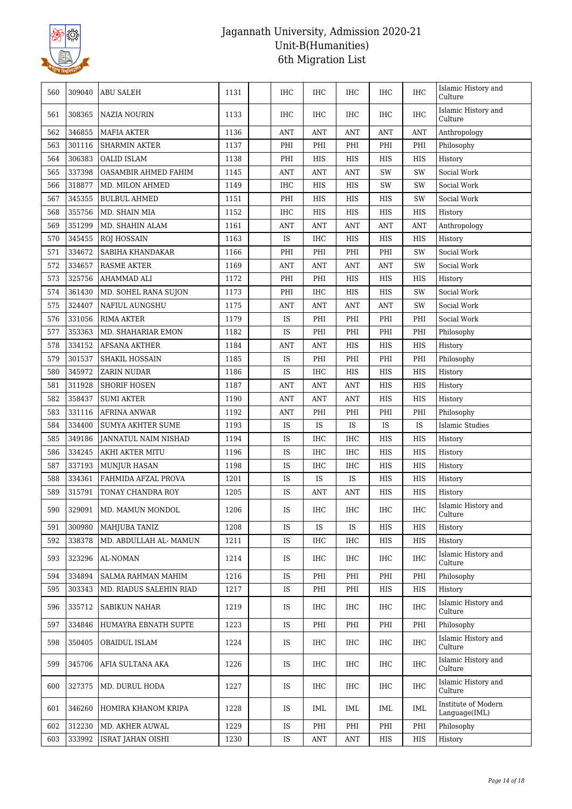

| 560 | 309040 | <b>ABU SALEH</b>          | 1131 | <b>IHC</b> | IHC                  | <b>IHC</b>           | IHC        | <b>IHC</b>   | Islamic History and<br>Culture       |
|-----|--------|---------------------------|------|------------|----------------------|----------------------|------------|--------------|--------------------------------------|
| 561 | 308365 | NAZIA NOURIN              | 1133 | IHC        | IHC                  | IHC                  | IHC        | IHC          | Islamic History and<br>Culture       |
| 562 | 346855 | <b>MAFIA AKTER</b>        | 1136 | ANT        | <b>ANT</b>           | ANT                  | ANT        | <b>ANT</b>   | Anthropology                         |
| 563 | 301116 | <b>SHARMIN AKTER</b>      | 1137 | PHI        | PHI                  | PHI                  | PHI        | PHI          | Philosophy                           |
| 564 | 306383 | OALID ISLAM               | 1138 | PHI        | HIS                  | HIS                  | HIS        | HIS          | History                              |
| 565 | 337398 | OASAMBIR AHMED FAHIM      | 1145 | <b>ANT</b> | <b>ANT</b>           | <b>ANT</b>           | SW         | SW           | Social Work                          |
| 566 | 318877 | MD. MILON AHMED           | 1149 | IHC        | HIS                  | HIS                  | SW         | SW           | Social Work                          |
| 567 | 345355 | <b>BULBUL AHMED</b>       | 1151 | PHI        | HIS                  | HIS                  | HIS        | SW           | Social Work                          |
| 568 | 355756 | MD. SHAIN MIA             | 1152 | IHC        | HIS                  | HIS                  | HIS        | HIS          | History                              |
| 569 | 351299 | MD. SHAHIN ALAM           | 1161 | <b>ANT</b> | <b>ANT</b>           | ANT                  | <b>ANT</b> | <b>ANT</b>   | Anthropology                         |
| 570 | 345455 | <b>ROJ HOSSAIN</b>        | 1163 | IS         | <b>IHC</b>           | HIS                  | HIS        | HIS          | History                              |
| 571 | 334672 | SABIHA KHANDAKAR          | 1166 | PHI        | PHI                  | PHI                  | PHI        | SW           | Social Work                          |
| 572 | 334657 | <b>RASME AKTER</b>        | 1169 | <b>ANT</b> | <b>ANT</b>           | <b>ANT</b>           | <b>ANT</b> | SW           | Social Work                          |
| 573 | 325756 | AHAMMAD ALI               | 1172 | PHI        | PHI                  | HIS                  | HIS        | HIS          | History                              |
| 574 | 361430 | MD. SOHEL RANA SUJON      | 1173 | PHI        | IHC                  | HIS                  | HIS        | SW           | Social Work                          |
| 575 | 324407 | NAFIUL AUNGSHU            | 1175 | <b>ANT</b> | <b>ANT</b>           | <b>ANT</b>           | <b>ANT</b> | SW           | Social Work                          |
| 576 | 331056 | <b>RIMA AKTER</b>         | 1179 | IS         | PHI                  | PHI                  | PHI        | PHI          | Social Work                          |
| 577 | 353363 | MD. SHAHARIAR EMON        | 1182 | IS         | PHI                  | PHI                  | PHI        | PHI          | Philosophy                           |
| 578 | 334152 | <b>AFSANA AKTHER</b>      | 1184 | <b>ANT</b> | <b>ANT</b>           | HIS                  | HIS        | HIS          | History                              |
| 579 | 301537 | SHAKIL HOSSAIN            | 1185 | IS         | PHI                  | PHI                  | PHI        | PHI          | Philosophy                           |
| 580 | 345972 | <b>ZARIN NUDAR</b>        | 1186 | IS         | <b>IHC</b>           | HIS                  | HIS        | HIS          | History                              |
| 581 | 311928 | <b>SHORIF HOSEN</b>       | 1187 | <b>ANT</b> | <b>ANT</b>           | <b>ANT</b>           | HIS        | $_{\rm HIS}$ | History                              |
| 582 | 358437 | <b>SUMI AKTER</b>         | 1190 | <b>ANT</b> | <b>ANT</b>           | <b>ANT</b>           | HIS        | <b>HIS</b>   | History                              |
| 583 | 331116 | <b>AFRINA ANWAR</b>       | 1192 | <b>ANT</b> | PHI                  | PHI                  | PHI        | PHI          | Philosophy                           |
| 584 | 334400 | <b>SUMYA AKHTER SUME</b>  | 1193 | IS         | IS                   | IS                   | IS         | IS           | Islamic Studies                      |
| 585 | 349186 | JANNATUL NAIM NISHAD      | 1194 | IS         | <b>IHC</b>           | IHC                  | HIS        | HIS          | History                              |
| 586 | 334245 | AKHI AKTER MITU           | 1196 | IS         | IHC                  | IHC                  | HIS        | HIS          | History                              |
| 587 | 337193 | <b>MUNJUR HASAN</b>       | 1198 | IS         | <b>IHC</b>           | IHC                  | HIS        | HIS          | History                              |
| 588 | 334361 | FAHMIDA AFZAL PROVA       | 1201 | IS         | IS                   | IS                   | HIS        | HIS          | History                              |
| 589 | 315791 | TONAY CHANDRA ROY         | 1205 | IS         | ANT                  | ANT                  | HIS        | HIS          | History                              |
| 590 |        | 329091   MD. MAMUN MONDOL | 1206 | IS         | <b>IHC</b>           | <b>IHC</b>           | <b>IHC</b> | IHC          | Islamic History and<br>Culture       |
| 591 | 300980 | MAHJUBA TANIZ             | 1208 | IS         | IS                   | IS                   | HIS        | HIS          | History                              |
| 592 | 338378 | MD. ABDULLAH AL- MAMUN    | 1211 | IS         | <b>IHC</b>           | <b>IHC</b>           | HIS        | HIS          | History                              |
| 593 | 323296 | AL-NOMAN                  | 1214 | IS.        | <b>IHC</b>           | <b>IHC</b>           | IHC        | IHC          | Islamic History and<br>Culture       |
| 594 | 334894 | SALMA RAHMAN MAHIM        | 1216 | IS         | PHI                  | PHI                  | PHI        | PHI          | Philosophy                           |
| 595 | 303343 | MD. RIADUS SALEHIN RIAD   | 1217 | IS         | PHI                  | PHI                  | HIS        | HIS          | History                              |
| 596 | 335712 | SABIKUN NAHAR             | 1219 | IS         | IHC                  | IHC                  | IHC        | IHC          | Islamic History and<br>Culture       |
| 597 | 334846 | HUMAYRA EBNATH SUPTE      | 1223 | IS         | PHI                  | PHI                  | PHI        | PHI          | Philosophy                           |
| 598 | 350405 | OBAIDUL ISLAM             | 1224 | IS         | IHC                  | IHC                  | IHC        | IHC          | Islamic History and<br>Culture       |
| 599 | 345706 | AFIA SULTANA AKA          | 1226 | IS         | IHC                  | IHC                  | IHC        | IHC          | Islamic History and<br>Culture       |
| 600 | 327375 | MD. DURUL HODA            | 1227 | IS         | <b>IHC</b>           | <b>IHC</b>           | IHC        | IHC          | Islamic History and<br>Culture       |
| 601 | 346260 | HOMIRA KHANOM KRIPA       | 1228 | IS.        | IML                  | IML                  | IML        | IML          | Institute of Modern<br>Language(IML) |
| 602 | 312230 | MD. AKHER AUWAL           | 1229 | IS         | PHI                  | PHI                  | PHI        | PHI          | Philosophy                           |
| 603 | 333992 | <b>ISRAT JAHAN OISHI</b>  | 1230 | IS         | $\operatorname{ANT}$ | $\operatorname{ANT}$ | HIS        | HIS          | History                              |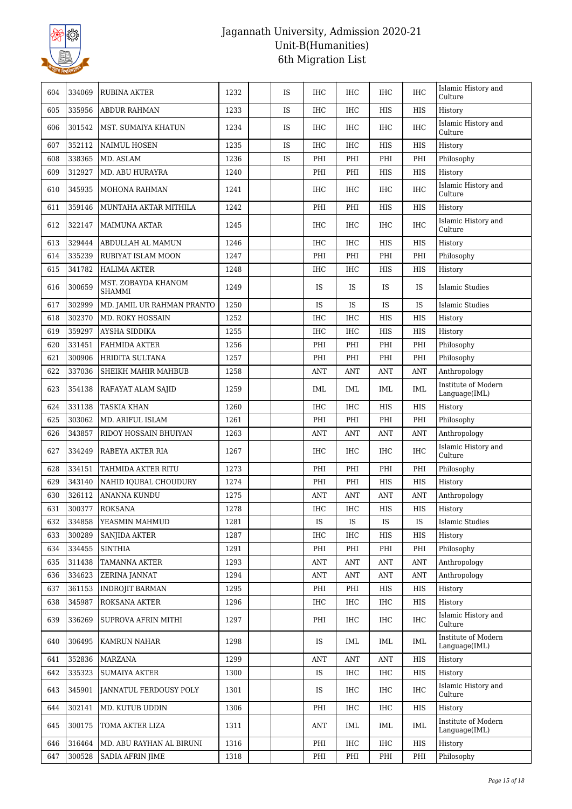

| 604 | 334069 | <b>RUBINA AKTER</b>                  | 1232 | <b>IS</b> | <b>IHC</b> | <b>IHC</b> | <b>IHC</b> | <b>IHC</b> | Islamic History and<br>Culture       |
|-----|--------|--------------------------------------|------|-----------|------------|------------|------------|------------|--------------------------------------|
| 605 | 335956 | ABDUR RAHMAN                         | 1233 | <b>IS</b> | <b>IHC</b> | <b>IHC</b> | <b>HIS</b> | <b>HIS</b> | History                              |
| 606 | 301542 | MST. SUMAIYA KHATUN                  | 1234 | IS        | <b>IHC</b> | IHC        | IHC        | <b>IHC</b> | Islamic History and<br>Culture       |
| 607 | 352112 | <b>NAIMUL HOSEN</b>                  | 1235 | IS        | <b>IHC</b> | IHC        | HIS        | HIS        | History                              |
| 608 | 338365 | MD. ASLAM                            | 1236 | IS        | PHI        | PHI        | PHI        | PHI        | Philosophy                           |
| 609 | 312927 | MD. ABU HURAYRA                      | 1240 |           | PHI        | PHI        | HIS        | <b>HIS</b> | History                              |
| 610 | 345935 | MOHONA RAHMAN                        | 1241 |           | <b>IHC</b> | <b>IHC</b> | <b>IHC</b> | <b>IHC</b> | Islamic History and<br>Culture       |
| 611 | 359146 | MUNTAHA AKTAR MITHILA                | 1242 |           | PHI        | PHI        | HIS        | HIS        | History                              |
| 612 | 322147 | <b>MAIMUNA AKTAR</b>                 | 1245 |           | <b>IHC</b> | <b>IHC</b> | <b>IHC</b> | <b>IHC</b> | Islamic History and<br>Culture       |
| 613 | 329444 | ABDULLAH AL MAMUN                    | 1246 |           | <b>IHC</b> | <b>IHC</b> | HIS        | <b>HIS</b> | History                              |
| 614 | 335239 | RUBIYAT ISLAM MOON                   | 1247 |           | PHI        | PHI        | PHI        | PHI        | Philosophy                           |
| 615 | 341782 | <b>HALIMA AKTER</b>                  | 1248 |           | <b>IHC</b> | <b>IHC</b> | HIS        | <b>HIS</b> | History                              |
| 616 | 300659 | MST. ZOBAYDA KHANOM<br><b>SHAMMI</b> | 1249 |           | <b>IS</b>  | <b>IS</b>  | <b>IS</b>  | IS         | <b>Islamic Studies</b>               |
| 617 | 302999 | MD. JAMIL UR RAHMAN PRANTO           | 1250 |           | IS         | IS         | <b>IS</b>  | IS         | <b>Islamic Studies</b>               |
| 618 | 302370 | MD. ROKY HOSSAIN                     | 1252 |           | <b>IHC</b> | IHC        | <b>HIS</b> | <b>HIS</b> | History                              |
| 619 | 359297 | AYSHA SIDDIKA                        | 1255 |           | <b>IHC</b> | IHC        | HIS        | HIS        | History                              |
| 620 | 331451 | <b>FAHMIDA AKTER</b>                 | 1256 |           | PHI        | PHI        | PHI        | PHI        | Philosophy                           |
| 621 | 300906 | <b>HRIDITA SULTANA</b>               | 1257 |           | PHI        | PHI        | PHI        | PHI        | Philosophy                           |
| 622 | 337036 | SHEIKH MAHIR MAHBUB                  | 1258 |           | ANT        | ANT        | ANT        | <b>ANT</b> | Anthropology                         |
| 623 | 354138 | RAFAYAT ALAM SAJID                   | 1259 |           | IML        | IML        | IML        | <b>IML</b> | Institute of Modern<br>Language(IML) |
| 624 | 331138 | <b>TASKIA KHAN</b>                   | 1260 |           | <b>IHC</b> | <b>IHC</b> | <b>HIS</b> | <b>HIS</b> | History                              |
| 625 | 303062 | MD. ARIFUL ISLAM                     | 1261 |           | PHI        | PHI        | PHI        | PHI        | Philosophy                           |
| 626 | 343857 | RIDOY HOSSAIN BHUIYAN                | 1263 |           | ANT        | ANT        | ANT        | <b>ANT</b> | Anthropology                         |
| 627 | 334249 | RABEYA AKTER RIA                     | 1267 |           | <b>IHC</b> | IHC        | IHC        | <b>IHC</b> | Islamic History and<br>Culture       |
| 628 | 334151 | TAHMIDA AKTER RITU                   | 1273 |           | PHI        | PHI        | PHI        | PHI        | Philosophy                           |
| 629 | 343140 | NAHID IQUBAL CHOUDURY                | 1274 |           | PHI        | PHI        | <b>HIS</b> | <b>HIS</b> | History                              |
| 630 | 326112 | <b>ANANNA KUNDU</b>                  | 1275 |           | <b>ANT</b> | <b>ANT</b> | ANT        | <b>ANT</b> | Anthropology                         |
| 631 | 300377 | <b>ROKSANA</b>                       | 1278 |           | IHC        | IHC        | HIS        | HIS        | History                              |
| 632 | 334858 | YEASMIN MAHMUD                       | 1281 |           | IS         | IS         | IS         | <b>IS</b>  | Islamic Studies                      |
| 633 | 300289 | SANJIDA AKTER                        | 1287 |           | <b>IHC</b> | IHC        | HIS        | HIS        | History                              |
| 634 | 334455 | <b>SINTHIA</b>                       | 1291 |           | PHI        | PHI        | PHI        | PHI        | Philosophy                           |
| 635 | 311438 | <b>TAMANNA AKTER</b>                 | 1293 |           | ANT        | ANT        | ANT        | <b>ANT</b> | Anthropology                         |
| 636 | 334623 | ZERINA JANNAT                        | 1294 |           | <b>ANT</b> | <b>ANT</b> | <b>ANT</b> | <b>ANT</b> | Anthropology                         |
| 637 | 361153 | <b>INDROJIT BARMAN</b>               | 1295 |           | PHI        | PHI        | HIS        | HIS        | History                              |
| 638 | 345987 | ROKSANA AKTER                        | 1296 |           | IHC        | IHC        | IHC        | HIS        | History                              |
| 639 | 336269 | SUPROVA AFRIN MITHI                  | 1297 |           | PHI        | IHC        | IHC        | <b>IHC</b> | Islamic History and<br>Culture       |
| 640 | 306495 | KAMRUN NAHAR                         | 1298 |           | IS         | IML        | IML        | <b>IML</b> | Institute of Modern<br>Language(IML) |
| 641 | 352836 | MARZANA                              | 1299 |           | <b>ANT</b> | <b>ANT</b> | <b>ANT</b> | HIS        | History                              |
| 642 | 335323 | <b>SUMAIYA AKTER</b>                 | 1300 |           | IS         | <b>IHC</b> | IHC        | HIS        | History                              |
| 643 | 345901 | JANNATUL FERDOUSY POLY               | 1301 |           | <b>IS</b>  | IHC        | $\rm IHC$  | <b>IHC</b> | Islamic History and<br>Culture       |
| 644 | 302141 | MD. KUTUB UDDIN                      | 1306 |           | PHI        | IHC        | IHC        | HIS        | History                              |
| 645 | 300175 | TOMA AKTER LIZA                      | 1311 |           | ANT        | IML        | IML        | IML        | Institute of Modern<br>Language(IML) |
| 646 | 316464 | MD. ABU RAYHAN AL BIRUNI             | 1316 |           | PHI        | IHC        | IHC        | HIS        | History                              |
| 647 | 300528 | <b>SADIA AFRIN JIME</b>              | 1318 |           | PHI        | PHI        | PHI        | PHI        | Philosophy                           |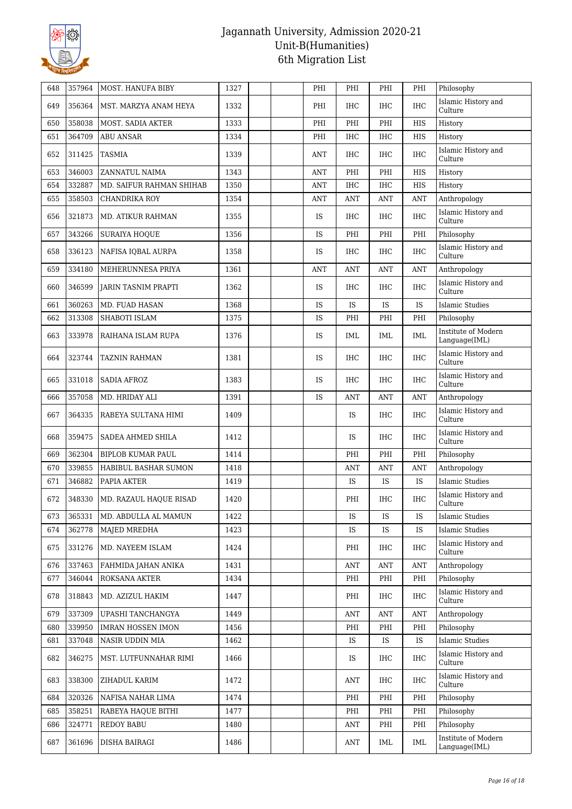

| 648 | 357964 | MOST. HANUFA BIBY          | 1327 | PHI        | PHI        | PHI        | PHI        | Philosophy                           |
|-----|--------|----------------------------|------|------------|------------|------------|------------|--------------------------------------|
| 649 | 356364 | MST. MARZYA ANAM HEYA      | 1332 | PHI        | <b>IHC</b> | IHC        | <b>IHC</b> | Islamic History and<br>Culture       |
| 650 | 358038 | MOST. SADIA AKTER          | 1333 | PHI        | PHI        | PHI        | <b>HIS</b> | History                              |
| 651 | 364709 | <b>ABU ANSAR</b>           | 1334 | PHI        | <b>IHC</b> | IHC        | HIS        | History                              |
| 652 | 311425 | <b>TASMIA</b>              | 1339 | ANT        | <b>IHC</b> | IHC        | <b>IHC</b> | Islamic History and<br>Culture       |
| 653 | 346003 | ZANNATUL NAIMA             | 1343 | ANT        | PHI        | PHI        | <b>HIS</b> | History                              |
| 654 | 332887 | MD. SAIFUR RAHMAN SHIHAB   | 1350 | ANT        | <b>IHC</b> | <b>IHC</b> | <b>HIS</b> | History                              |
| 655 | 358503 | <b>CHANDRIKA ROY</b>       | 1354 | <b>ANT</b> | <b>ANT</b> | <b>ANT</b> | <b>ANT</b> | Anthropology                         |
| 656 | 321873 | MD. ATIKUR RAHMAN          | 1355 | <b>IS</b>  | <b>IHC</b> | IHC        | <b>IHC</b> | Islamic History and<br>Culture       |
| 657 | 343266 | <b>SURAIYA HOQUE</b>       | 1356 | <b>IS</b>  | PHI        | PHI        | PHI        | Philosophy                           |
| 658 | 336123 | NAFISA IQBAL AURPA         | 1358 | IS         | <b>IHC</b> | <b>IHC</b> | <b>IHC</b> | Islamic History and<br>Culture       |
| 659 | 334180 | MEHERUNNESA PRIYA          | 1361 | <b>ANT</b> | ANT        | ANT        | <b>ANT</b> | Anthropology                         |
| 660 | 346599 | <b>JARIN TASNIM PRAPTI</b> | 1362 | <b>IS</b>  | <b>IHC</b> | IHC        | <b>IHC</b> | Islamic History and<br>Culture       |
| 661 | 360263 | MD. FUAD HASAN             | 1368 | IS         | IS         | <b>IS</b>  | IS         | <b>Islamic Studies</b>               |
| 662 | 313308 | SHABOTI ISLAM              | 1375 | IS         | PHI        | PHI        | PHI        | Philosophy                           |
| 663 | 333978 | RAIHANA ISLAM RUPA         | 1376 | IS         | IML        | IML        | <b>IML</b> | Institute of Modern<br>Language(IML) |
| 664 | 323744 | <b>TAZNIN RAHMAN</b>       | 1381 | IS         | <b>IHC</b> | IHC        | <b>IHC</b> | Islamic History and<br>Culture       |
| 665 | 331018 | <b>SADIA AFROZ</b>         | 1383 | IS         | <b>IHC</b> | IHC        | <b>IHC</b> | Islamic History and<br>Culture       |
| 666 | 357058 | MD. HRIDAY ALI             | 1391 | IS         | ANT        | ANT        | <b>ANT</b> | Anthropology                         |
| 667 | 364335 | RABEYA SULTANA HIMI        | 1409 |            | <b>IS</b>  | IHC        | <b>IHC</b> | Islamic History and<br>Culture       |
| 668 | 359475 | SADEA AHMED SHILA          | 1412 |            | <b>IS</b>  | IHC        | <b>IHC</b> | Islamic History and<br>Culture       |
| 669 | 362304 | <b>BIPLOB KUMAR PAUL</b>   | 1414 |            | PHI        | PHI        | PHI        | Philosophy                           |
| 670 | 339855 | HABIBUL BASHAR SUMON       | 1418 |            | ANT        | <b>ANT</b> | ANT        | Anthropology                         |
| 671 | 346882 | PAPIA AKTER                | 1419 |            | <b>IS</b>  | <b>IS</b>  | IS         | <b>Islamic Studies</b>               |
| 672 | 348330 | MD. RAZAUL HAQUE RISAD     | 1420 |            | PHI        | IHC        | <b>IHC</b> | Islamic History and<br>Culture       |
| 673 | 365331 | MD. ABDULLA AL MAMUN       | 1422 |            | IS         | IS         | IS         | <b>Islamic Studies</b>               |
| 674 | 362778 | MAJED MREDHA               | 1423 |            | <b>IS</b>  | IS         | IS         | <b>Islamic Studies</b>               |
| 675 | 331276 | MD. NAYEEM ISLAM           | 1424 |            | PHI        | IHC        | <b>IHC</b> | Islamic History and<br>Culture       |
| 676 | 337463 | FAHMIDA JAHAN ANIKA        | 1431 |            | <b>ANT</b> | <b>ANT</b> | <b>ANT</b> | Anthropology                         |
| 677 | 346044 | ROKSANA AKTER              | 1434 |            | PHI        | PHI        | PHI        | Philosophy                           |
| 678 | 318843 | MD. AZIZUL HAKIM           | 1447 |            | PHI        | IHC        | <b>IHC</b> | Islamic History and<br>Culture       |
| 679 | 337309 | UPASHI TANCHANGYA          | 1449 |            | ANT        | ANT        | <b>ANT</b> | Anthropology                         |
| 680 | 339950 | <b>IMRAN HOSSEN IMON</b>   | 1456 |            | PHI        | PHI        | PHI        | Philosophy                           |
| 681 | 337048 | NASIR UDDIN MIA            | 1462 |            | IS         | IS         | IS         | <b>Islamic Studies</b>               |
| 682 | 346275 | MST. LUTFUNNAHAR RIMI      | 1466 |            | IS         | IHC        | <b>IHC</b> | Islamic History and<br>Culture       |
| 683 | 338300 | ZIHADUL KARIM              | 1472 |            | ANT        | IHC        | <b>IHC</b> | Islamic History and<br>Culture       |
| 684 | 320326 | NAFISA NAHAR LIMA          | 1474 |            | PHI        | PHI        | PHI        | Philosophy                           |
| 685 | 358251 | RABEYA HAQUE BITHI         | 1477 |            | PHI        | PHI        | PHI        | Philosophy                           |
| 686 | 324771 | <b>REDOY BABU</b>          | 1480 |            | <b>ANT</b> | PHI        | PHI        | Philosophy                           |
| 687 | 361696 | DISHA BAIRAGI              | 1486 |            | <b>ANT</b> | IML        | IML        | Institute of Modern<br>Language(IML) |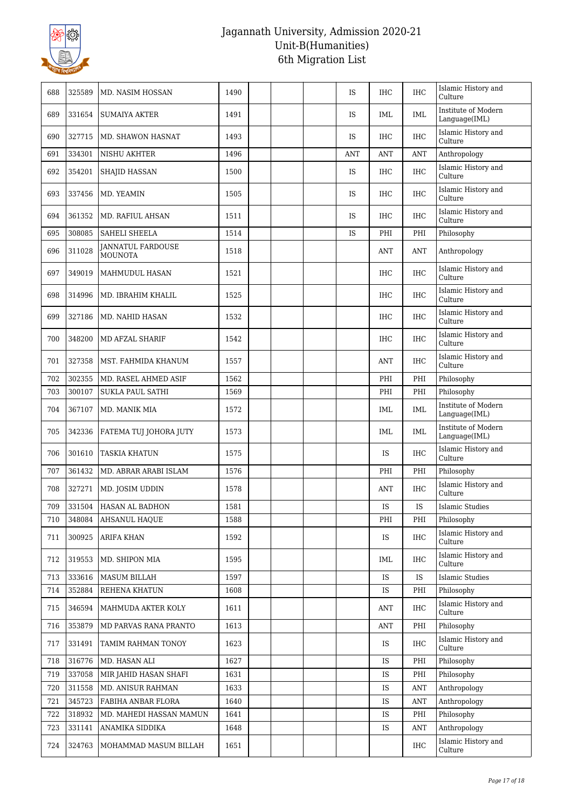

| 688 | 325589 | MD. NASIM HOSSAN                           | 1490 |  | <b>IS</b>  | IHC        | <b>IHC</b> | Islamic History and<br>Culture       |
|-----|--------|--------------------------------------------|------|--|------------|------------|------------|--------------------------------------|
| 689 | 331654 | <b>SUMAIYA AKTER</b>                       | 1491 |  | <b>IS</b>  | IML        | <b>IML</b> | Institute of Modern<br>Language(IML) |
| 690 | 327715 | MD. SHAWON HASNAT                          | 1493 |  | <b>IS</b>  | <b>IHC</b> | <b>IHC</b> | Islamic History and<br>Culture       |
| 691 | 334301 | NISHU AKHTER                               | 1496 |  | <b>ANT</b> | <b>ANT</b> | <b>ANT</b> | Anthropology                         |
| 692 | 354201 | <b>SHAJID HASSAN</b>                       | 1500 |  | <b>IS</b>  | IHC        | <b>IHC</b> | Islamic History and<br>Culture       |
| 693 | 337456 | MD. YEAMIN                                 | 1505 |  | <b>IS</b>  | IHC        | <b>IHC</b> | Islamic History and<br>Culture       |
| 694 | 361352 | <b>MD. RAFIUL AHSAN</b>                    | 1511 |  | IS         | <b>IHC</b> | <b>IHC</b> | Islamic History and<br>Culture       |
| 695 | 308085 | <b>SAHELI SHEELA</b>                       | 1514 |  | IS         | PHI        | PHI        | Philosophy                           |
| 696 | 311028 | <b>JANNATUL FARDOUSE</b><br><b>MOUNOTA</b> | 1518 |  |            | <b>ANT</b> | <b>ANT</b> | Anthropology                         |
| 697 | 349019 | MAHMUDUL HASAN                             | 1521 |  |            | IHC        | <b>IHC</b> | Islamic History and<br>Culture       |
| 698 | 314996 | MD. IBRAHIM KHALIL                         | 1525 |  |            | IHC        | <b>IHC</b> | Islamic History and<br>Culture       |
| 699 | 327186 | MD. NAHID HASAN                            | 1532 |  |            | IHC        | <b>IHC</b> | Islamic History and<br>Culture       |
| 700 | 348200 | MD AFZAL SHARIF                            | 1542 |  |            | <b>IHC</b> | <b>IHC</b> | Islamic History and<br>Culture       |
| 701 | 327358 | MST. FAHMIDA KHANUM                        | 1557 |  |            | <b>ANT</b> | <b>IHC</b> | Islamic History and<br>Culture       |
| 702 | 302355 | MD. RASEL AHMED ASIF                       | 1562 |  |            | PHI        | PHI        | Philosophy                           |
| 703 | 300107 | <b>SUKLA PAUL SATHI</b>                    | 1569 |  |            | PHI        | PHI        | Philosophy                           |
| 704 | 367107 | MD. MANIK MIA                              | 1572 |  |            | IML        | <b>IML</b> | Institute of Modern<br>Language(IML) |
| 705 | 342336 | FATEMA TUJ JOHORA JUTY                     | 1573 |  |            | IML        | <b>IML</b> | Institute of Modern<br>Language(IML) |
| 706 | 301610 | <b>TASKIA KHATUN</b>                       | 1575 |  |            | IS         | <b>IHC</b> | Islamic History and<br>Culture       |
| 707 | 361432 | MD. ABRAR ARABI ISLAM                      | 1576 |  |            | PHI        | PHI        | Philosophy                           |
| 708 | 327271 | MD. JOSIM UDDIN                            | 1578 |  |            | <b>ANT</b> | <b>IHC</b> | Islamic History and<br>Culture       |
| 709 | 331504 | HASAN AL BADHON                            | 1581 |  |            | IS         | <b>IS</b>  | Islamic Studies                      |
| 710 | 348084 | <b>AHSANUL HAQUE</b>                       | 1588 |  |            | PHI        | PHI        | Philosophy                           |
| 711 | 300925 | ARIFA KHAN                                 | 1592 |  |            | <b>IS</b>  | <b>IHC</b> | Islamic History and<br>Culture       |
| 712 | 319553 | MD. SHIPON MIA                             | 1595 |  |            | IML        | <b>IHC</b> | Islamic History and<br>Culture       |
| 713 | 333616 | MASUM BILLAH                               | 1597 |  |            | IS         | <b>IS</b>  | <b>Islamic Studies</b>               |
| 714 | 352884 | REHENA KHATUN                              | 1608 |  |            | IS         | PHI        | Philosophy                           |
| 715 | 346594 | MAHMUDA AKTER KOLY                         | 1611 |  |            | ANT        | <b>IHC</b> | Islamic History and<br>Culture       |
| 716 | 353879 | MD PARVAS RANA PRANTO                      | 1613 |  |            | <b>ANT</b> | PHI        | Philosophy                           |
| 717 | 331491 | TAMIM RAHMAN TONOY                         | 1623 |  |            | IS         | <b>IHC</b> | Islamic History and<br>Culture       |
| 718 | 316776 | MD. HASAN ALI                              | 1627 |  |            | IS         | PHI        | Philosophy                           |
| 719 | 337058 | MIR JAHID HASAN SHAFI                      | 1631 |  |            | IS         | PHI        | Philosophy                           |
| 720 | 311558 | MD. ANISUR RAHMAN                          | 1633 |  |            | IS         | <b>ANT</b> | Anthropology                         |
| 721 | 345723 | FABIHA ANBAR FLORA                         | 1640 |  |            | IS         | <b>ANT</b> | Anthropology                         |
| 722 | 318932 | MD. MAHEDI HASSAN MAMUN                    | 1641 |  |            | IS         | PHI        | Philosophy                           |
| 723 | 331141 | ANAMIKA SIDDIKA                            | 1648 |  |            | IS         | ANT        | Anthropology                         |
| 724 | 324763 | MOHAMMAD MASUM BILLAH                      | 1651 |  |            |            | <b>IHC</b> | Islamic History and<br>Culture       |